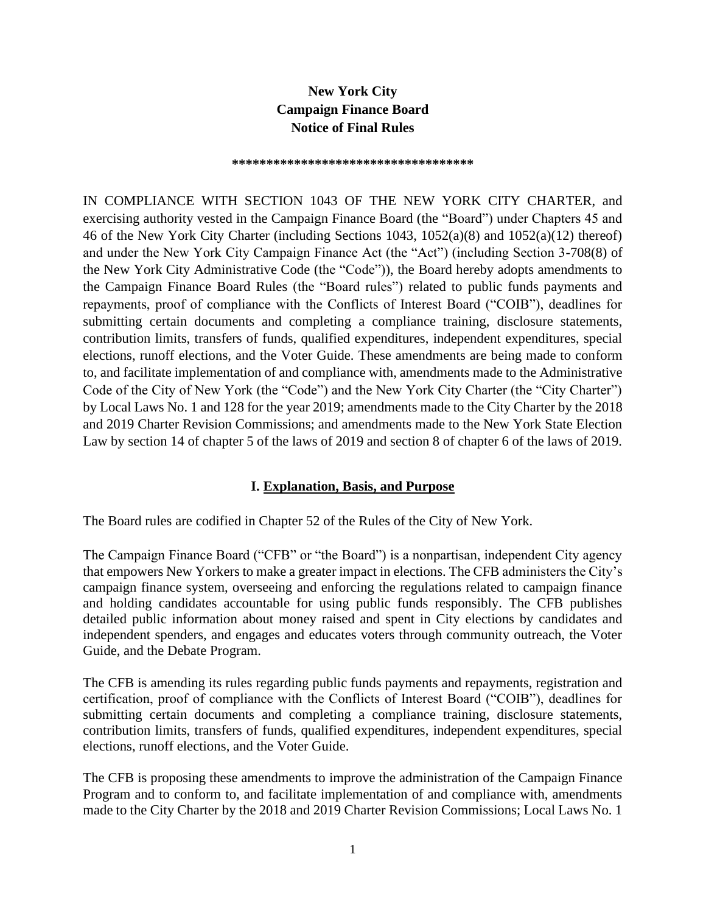# **New York City Campaign Finance Board Notice of Final Rules**

**\*\*\*\*\*\*\*\*\*\*\*\*\*\*\*\*\*\*\*\*\*\*\*\*\*\*\*\*\*\*\*\*\*\*\*** 

IN COMPLIANCE WITH SECTION 1043 OF THE NEW YORK CITY CHARTER, and exercising authority vested in the Campaign Finance Board (the "Board") under Chapters 45 and 46 of the New York City Charter (including Sections 1043, 1052(a)(8) and 1052(a)(12) thereof) and under the New York City Campaign Finance Act (the "Act") (including Section 3-708(8) of the New York City Administrative Code (the "Code")), the Board hereby adopts amendments to the Campaign Finance Board Rules (the "Board rules") related to public funds payments and repayments, proof of compliance with the Conflicts of Interest Board ("COIB"), deadlines for submitting certain documents and completing a compliance training, disclosure statements, contribution limits, transfers of funds, qualified expenditures, independent expenditures, special elections, runoff elections, and the Voter Guide. These amendments are being made to conform to, and facilitate implementation of and compliance with, amendments made to the Administrative Code of the City of New York (the "Code") and the New York City Charter (the "City Charter") by Local Laws No. 1 and 128 for the year 2019; amendments made to the City Charter by the 2018 and 2019 Charter Revision Commissions; and amendments made to the New York State Election Law by section 14 of chapter 5 of the laws of 2019 and section 8 of chapter 6 of the laws of 2019.

#### **I. Explanation, Basis, and Purpose**

The Board rules are codified in Chapter 52 of the Rules of the City of New York.

The Campaign Finance Board ("CFB" or "the Board") is a nonpartisan, independent City agency that empowers New Yorkers to make a greater impact in elections. The CFB administers the City's campaign finance system, overseeing and enforcing the regulations related to campaign finance and holding candidates accountable for using public funds responsibly. The CFB publishes detailed public information about money raised and spent in City elections by candidates and independent spenders, and engages and educates voters through community outreach, the Voter Guide, and the Debate Program.

The CFB is amending its rules regarding public funds payments and repayments, registration and certification, proof of compliance with the Conflicts of Interest Board ("COIB"), deadlines for submitting certain documents and completing a compliance training, disclosure statements, contribution limits, transfers of funds, qualified expenditures, independent expenditures, special elections, runoff elections, and the Voter Guide.

The CFB is proposing these amendments to improve the administration of the Campaign Finance Program and to conform to, and facilitate implementation of and compliance with, amendments made to the City Charter by the 2018 and 2019 Charter Revision Commissions; Local Laws No. 1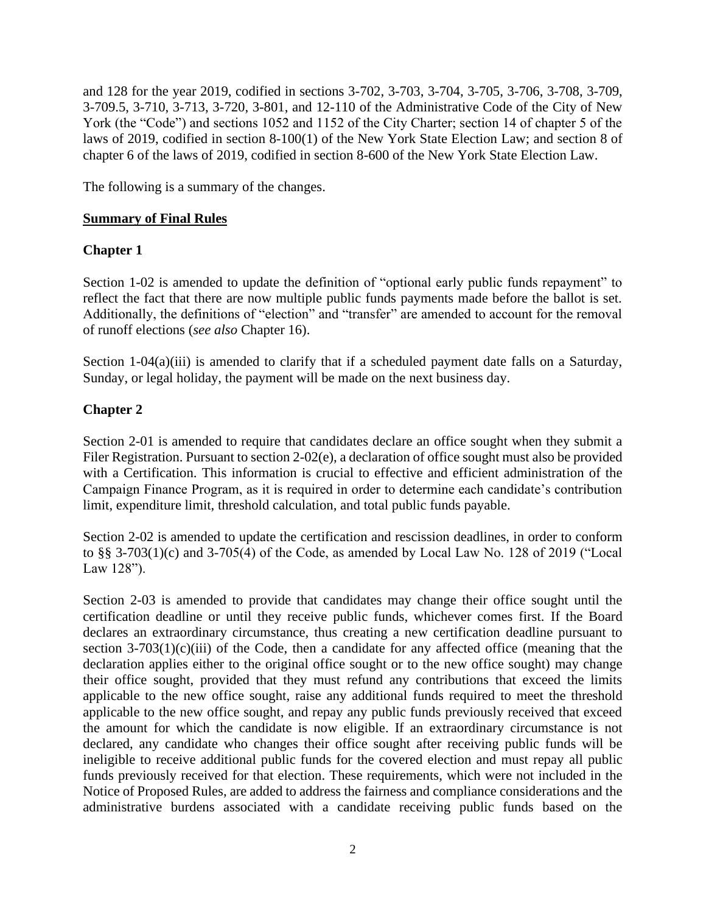and 128 for the year 2019, codified in sections 3-702, 3-703, 3-704, 3-705, 3-706, 3-708, 3-709, 3-709.5, 3-710, 3-713, 3-720, 3-801, and 12-110 of the Administrative Code of the City of New York (the "Code") and sections 1052 and 1152 of the City Charter; section 14 of chapter 5 of the laws of 2019, codified in section 8-100(1) of the New York State Election Law; and section 8 of chapter 6 of the laws of 2019, codified in section 8-600 of the New York State Election Law.

The following is a summary of the changes.

#### **Summary of Final Rules**

### **Chapter 1**

Section 1-02 is amended to update the definition of "optional early public funds repayment" to reflect the fact that there are now multiple public funds payments made before the ballot is set. Additionally, the definitions of "election" and "transfer" are amended to account for the removal of runoff elections (*see also* Chapter 16).

Section  $1-04(a)(iii)$  is amended to clarify that if a scheduled payment date falls on a Saturday, Sunday, or legal holiday, the payment will be made on the next business day.

## **Chapter 2**

Section 2-01 is amended to require that candidates declare an office sought when they submit a Filer Registration. Pursuant to section 2-02(e), a declaration of office sought must also be provided with a Certification. This information is crucial to effective and efficient administration of the Campaign Finance Program, as it is required in order to determine each candidate's contribution limit, expenditure limit, threshold calculation, and total public funds payable.

Section 2-02 is amended to update the certification and rescission deadlines, in order to conform to §§ 3-703(1)(c) and 3-705(4) of the Code, as amended by Local Law No. 128 of 2019 ("Local Law 128").

Section 2-03 is amended to provide that candidates may change their office sought until the certification deadline or until they receive public funds, whichever comes first. If the Board declares an extraordinary circumstance, thus creating a new certification deadline pursuant to section  $3-703(1)(c)(iii)$  of the Code, then a candidate for any affected office (meaning that the declaration applies either to the original office sought or to the new office sought) may change their office sought, provided that they must refund any contributions that exceed the limits applicable to the new office sought, raise any additional funds required to meet the threshold applicable to the new office sought, and repay any public funds previously received that exceed the amount for which the candidate is now eligible. If an extraordinary circumstance is not declared, any candidate who changes their office sought after receiving public funds will be ineligible to receive additional public funds for the covered election and must repay all public funds previously received for that election. These requirements, which were not included in the Notice of Proposed Rules, are added to address the fairness and compliance considerations and the administrative burdens associated with a candidate receiving public funds based on the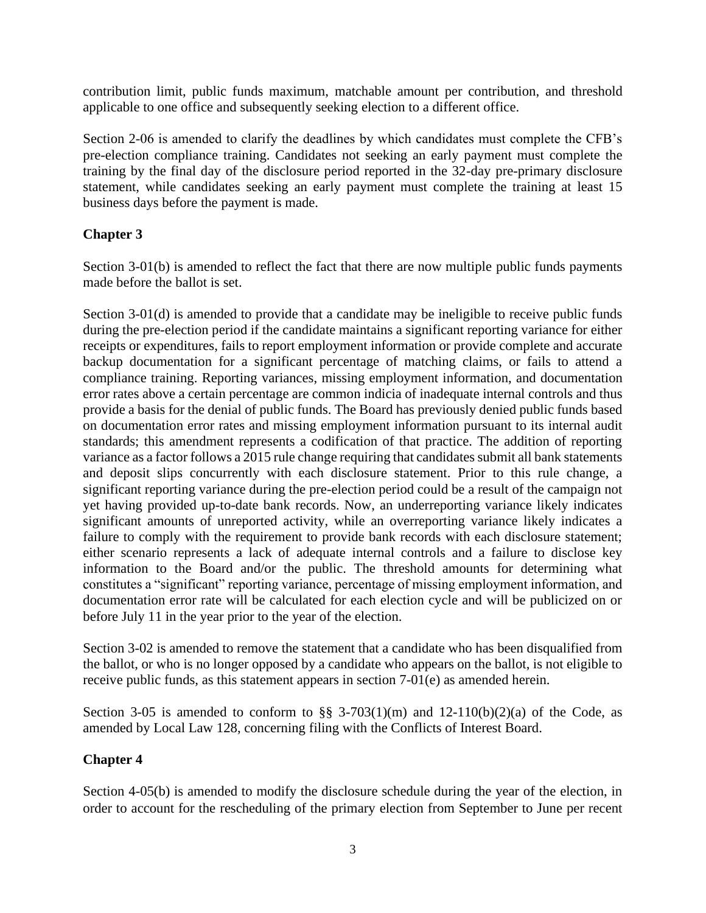contribution limit, public funds maximum, matchable amount per contribution, and threshold applicable to one office and subsequently seeking election to a different office.

Section 2-06 is amended to clarify the deadlines by which candidates must complete the CFB's pre-election compliance training. Candidates not seeking an early payment must complete the training by the final day of the disclosure period reported in the 32-day pre-primary disclosure statement, while candidates seeking an early payment must complete the training at least 15 business days before the payment is made.

### **Chapter 3**

Section 3-01(b) is amended to reflect the fact that there are now multiple public funds payments made before the ballot is set.

Section 3-01(d) is amended to provide that a candidate may be ineligible to receive public funds during the pre-election period if the candidate maintains a significant reporting variance for either receipts or expenditures, fails to report employment information or provide complete and accurate backup documentation for a significant percentage of matching claims, or fails to attend a compliance training. Reporting variances, missing employment information, and documentation error rates above a certain percentage are common indicia of inadequate internal controls and thus provide a basis for the denial of public funds. The Board has previously denied public funds based on documentation error rates and missing employment information pursuant to its internal audit standards; this amendment represents a codification of that practice. The addition of reporting variance as a factor follows a 2015 rule change requiring that candidates submit all bank statements and deposit slips concurrently with each disclosure statement. Prior to this rule change, a significant reporting variance during the pre-election period could be a result of the campaign not yet having provided up-to-date bank records. Now, an underreporting variance likely indicates significant amounts of unreported activity, while an overreporting variance likely indicates a failure to comply with the requirement to provide bank records with each disclosure statement; either scenario represents a lack of adequate internal controls and a failure to disclose key information to the Board and/or the public. The threshold amounts for determining what constitutes a "significant" reporting variance, percentage of missing employment information, and documentation error rate will be calculated for each election cycle and will be publicized on or before July 11 in the year prior to the year of the election.

Section 3-02 is amended to remove the statement that a candidate who has been disqualified from the ballot, or who is no longer opposed by a candidate who appears on the ballot, is not eligible to receive public funds, as this statement appears in section 7-01(e) as amended herein.

Section 3-05 is amended to conform to  $\S$ § 3-703(1)(m) and 12-110(b)(2)(a) of the Code, as amended by Local Law 128, concerning filing with the Conflicts of Interest Board.

### **Chapter 4**

Section 4-05(b) is amended to modify the disclosure schedule during the year of the election, in order to account for the rescheduling of the primary election from September to June per recent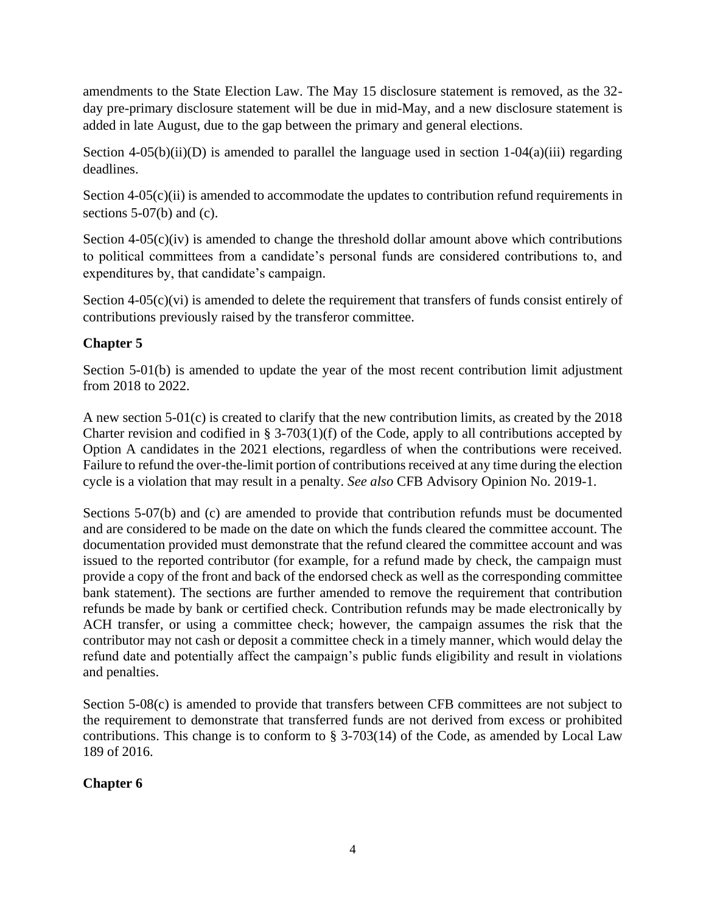amendments to the State Election Law. The May 15 disclosure statement is removed, as the 32 day pre-primary disclosure statement will be due in mid-May, and a new disclosure statement is added in late August, due to the gap between the primary and general elections.

Section 4-05(b)(ii)(D) is amended to parallel the language used in section  $1-04(a)(iii)$  regarding deadlines.

Section  $4-05(c)(ii)$  is amended to accommodate the updates to contribution refund requirements in sections 5-07(b) and (c).

Section  $4-05(c)(iv)$  is amended to change the threshold dollar amount above which contributions to political committees from a candidate's personal funds are considered contributions to, and expenditures by, that candidate's campaign.

Section 4-05(c)(vi) is amended to delete the requirement that transfers of funds consist entirely of contributions previously raised by the transferor committee.

# **Chapter 5**

Section 5-01(b) is amended to update the year of the most recent contribution limit adjustment from 2018 to 2022.

A new section 5-01(c) is created to clarify that the new contribution limits, as created by the 2018 Charter revision and codified in § 3-703(1)(f) of the Code, apply to all contributions accepted by Option A candidates in the 2021 elections, regardless of when the contributions were received. Failure to refund the over-the-limit portion of contributions received at any time during the election cycle is a violation that may result in a penalty. *See also* CFB Advisory Opinion No. 2019-1.

Sections 5-07(b) and (c) are amended to provide that contribution refunds must be documented and are considered to be made on the date on which the funds cleared the committee account. The documentation provided must demonstrate that the refund cleared the committee account and was issued to the reported contributor (for example, for a refund made by check, the campaign must provide a copy of the front and back of the endorsed check as well as the corresponding committee bank statement). The sections are further amended to remove the requirement that contribution refunds be made by bank or certified check. Contribution refunds may be made electronically by ACH transfer, or using a committee check; however, the campaign assumes the risk that the contributor may not cash or deposit a committee check in a timely manner, which would delay the refund date and potentially affect the campaign's public funds eligibility and result in violations and penalties.

Section 5-08(c) is amended to provide that transfers between CFB committees are not subject to the requirement to demonstrate that transferred funds are not derived from excess or prohibited contributions. This change is to conform to § 3-703(14) of the Code, as amended by Local Law 189 of 2016.

# **Chapter 6**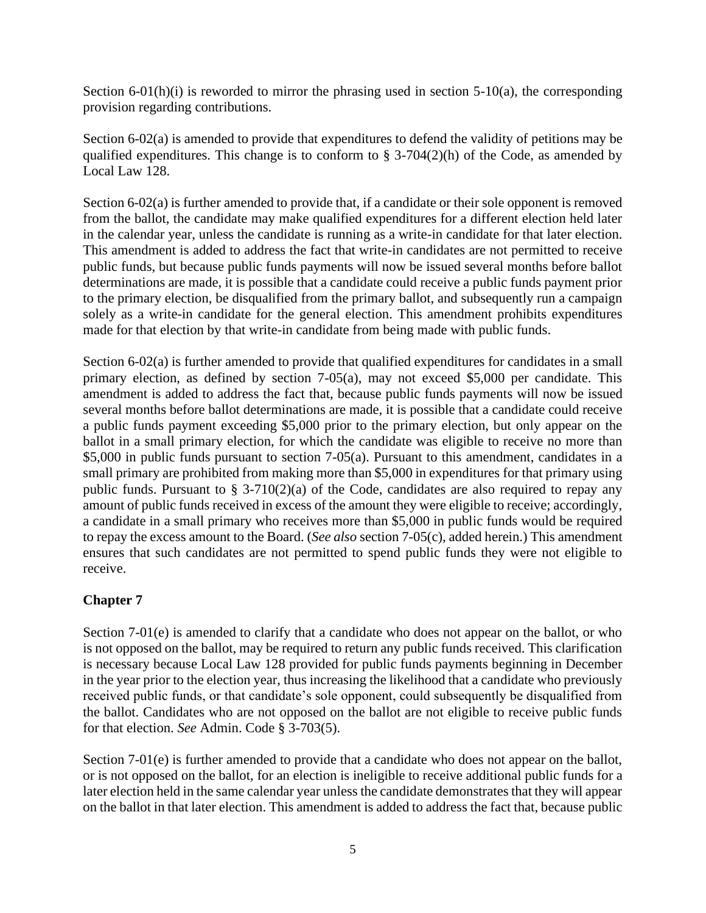Section  $6-01(h)(i)$  is reworded to mirror the phrasing used in section  $5-10(a)$ , the corresponding provision regarding contributions.

Section 6-02(a) is amended to provide that expenditures to defend the validity of petitions may be qualified expenditures. This change is to conform to  $\S$  3-704(2)(h) of the Code, as amended by Local Law 128.

Section 6-02(a) is further amended to provide that, if a candidate or their sole opponent is removed from the ballot, the candidate may make qualified expenditures for a different election held later in the calendar year, unless the candidate is running as a write-in candidate for that later election. This amendment is added to address the fact that write-in candidates are not permitted to receive public funds, but because public funds payments will now be issued several months before ballot determinations are made, it is possible that a candidate could receive a public funds payment prior to the primary election, be disqualified from the primary ballot, and subsequently run a campaign solely as a write-in candidate for the general election. This amendment prohibits expenditures made for that election by that write-in candidate from being made with public funds.

Section 6-02(a) is further amended to provide that qualified expenditures for candidates in a small primary election, as defined by section 7-05(a), may not exceed \$5,000 per candidate. This amendment is added to address the fact that, because public funds payments will now be issued several months before ballot determinations are made, it is possible that a candidate could receive a public funds payment exceeding \$5,000 prior to the primary election, but only appear on the ballot in a small primary election, for which the candidate was eligible to receive no more than \$5,000 in public funds pursuant to section 7-05(a). Pursuant to this amendment, candidates in a small primary are prohibited from making more than \$5,000 in expenditures for that primary using public funds. Pursuant to  $\S$  3-710(2)(a) of the Code, candidates are also required to repay any amount of public funds received in excess of the amount they were eligible to receive; accordingly, a candidate in a small primary who receives more than \$5,000 in public funds would be required to repay the excess amount to the Board. (*See also* section 7-05(c), added herein.) This amendment ensures that such candidates are not permitted to spend public funds they were not eligible to receive.

### **Chapter 7**

Section 7-01(e) is amended to clarify that a candidate who does not appear on the ballot, or who is not opposed on the ballot, may be required to return any public funds received. This clarification is necessary because Local Law 128 provided for public funds payments beginning in December in the year prior to the election year, thus increasing the likelihood that a candidate who previously received public funds, or that candidate's sole opponent, could subsequently be disqualified from the ballot. Candidates who are not opposed on the ballot are not eligible to receive public funds for that election. *See* Admin. Code § 3-703(5).

Section 7-01(e) is further amended to provide that a candidate who does not appear on the ballot, or is not opposed on the ballot, for an election is ineligible to receive additional public funds for a later election held in the same calendar year unless the candidate demonstrates that they will appear on the ballot in that later election. This amendment is added to address the fact that, because public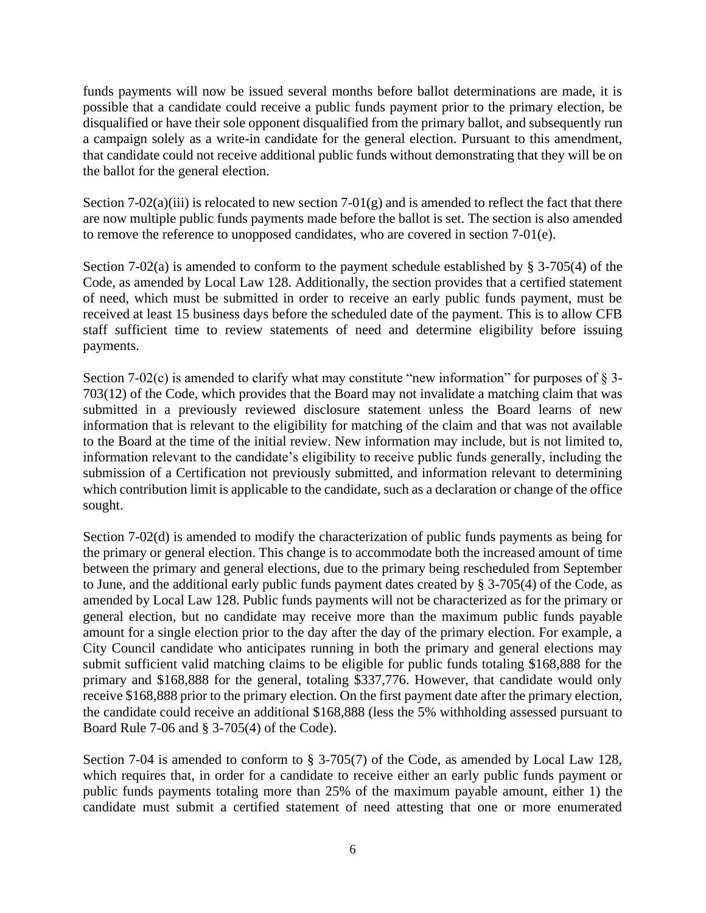funds payments will now be issued several months before ballot determinations are made, it is possible that a candidate could receive a public funds payment prior to the primary election, be disqualified or have their sole opponent disqualified from the primary ballot, and subsequently run a campaign solely as a write-in candidate for the general election. Pursuant to this amendment, that candidate could not receive additional public funds without demonstrating that they will be on the ballot for the general election.

Section 7-02(a)(iii) is relocated to new section 7-01(g) and is amended to reflect the fact that there are now multiple public funds payments made before the ballot is set. The section is also amended to remove the reference to unopposed candidates, who are covered in section 7-01(e).

Section 7-02(a) is amended to conform to the payment schedule established by § 3-705(4) of the Code, as amended by Local Law 128. Additionally, the section provides that a certified statement of need, which must be submitted in order to receive an early public funds payment, must be received at least 15 business days before the scheduled date of the payment. This is to allow CFB staff sufficient time to review statements of need and determine eligibility before issuing payments.

Section 7-02(c) is amended to clarify what may constitute "new information" for purposes of  $\S$  3-703(12) of the Code, which provides that the Board may not invalidate a matching claim that was submitted in a previously reviewed disclosure statement unless the Board learns of new information that is relevant to the eligibility for matching of the claim and that was not available to the Board at the time of the initial review. New information may include, but is not limited to, information relevant to the candidate's eligibility to receive public funds generally, including the submission of a Certification not previously submitted, and information relevant to determining which contribution limit is applicable to the candidate, such as a declaration or change of the office sought.

Section 7-02(d) is amended to modify the characterization of public funds payments as being for the primary or general election. This change is to accommodate both the increased amount of time between the primary and general elections, due to the primary being rescheduled from September to June, and the additional early public funds payment dates created by § 3-705(4) of the Code, as amended by Local Law 128. Public funds payments will not be characterized as for the primary or general election, but no candidate may receive more than the maximum public funds payable amount for a single election prior to the day after the day of the primary election. For example, a City Council candidate who anticipates running in both the primary and general elections may submit sufficient valid matching claims to be eligible for public funds totaling \$168,888 for the primary and \$168,888 for the general, totaling \$337,776. However, that candidate would only receive \$168,888 prior to the primary election. On the first payment date after the primary election, the candidate could receive an additional \$168,888 (less the 5% withholding assessed pursuant to Board Rule 7-06 and § 3-705(4) of the Code).

Section 7-04 is amended to conform to § 3-705(7) of the Code, as amended by Local Law 128, which requires that, in order for a candidate to receive either an early public funds payment or public funds payments totaling more than 25% of the maximum payable amount, either 1) the candidate must submit a certified statement of need attesting that one or more enumerated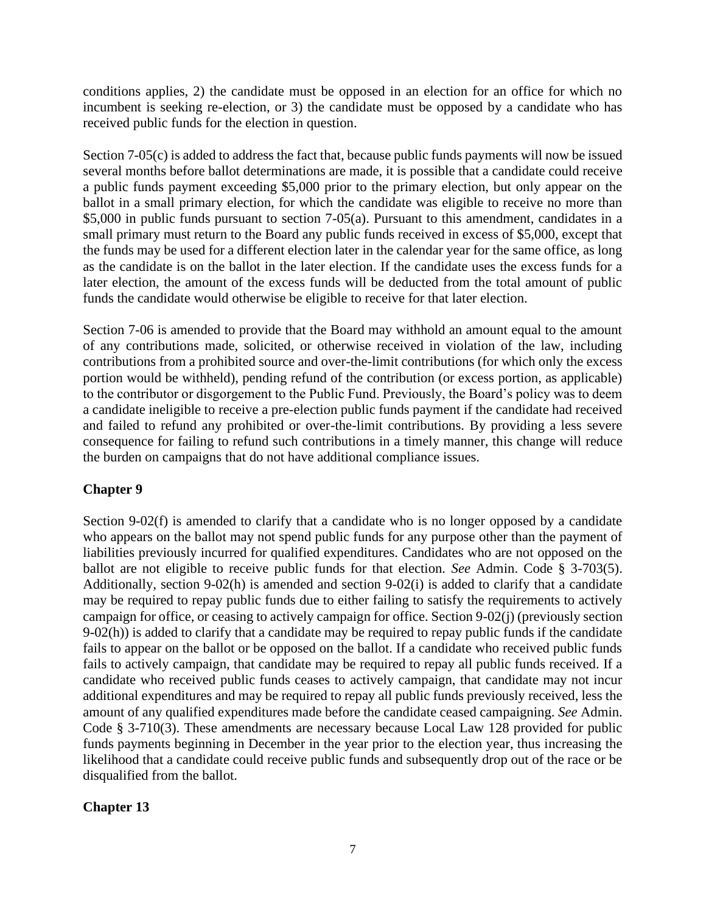conditions applies, 2) the candidate must be opposed in an election for an office for which no incumbent is seeking re-election, or 3) the candidate must be opposed by a candidate who has received public funds for the election in question.

Section 7-05(c) is added to address the fact that, because public funds payments will now be issued several months before ballot determinations are made, it is possible that a candidate could receive a public funds payment exceeding \$5,000 prior to the primary election, but only appear on the ballot in a small primary election, for which the candidate was eligible to receive no more than \$5,000 in public funds pursuant to section 7-05(a). Pursuant to this amendment, candidates in a small primary must return to the Board any public funds received in excess of \$5,000, except that the funds may be used for a different election later in the calendar year for the same office, as long as the candidate is on the ballot in the later election. If the candidate uses the excess funds for a later election, the amount of the excess funds will be deducted from the total amount of public funds the candidate would otherwise be eligible to receive for that later election.

Section 7-06 is amended to provide that the Board may withhold an amount equal to the amount of any contributions made, solicited, or otherwise received in violation of the law, including contributions from a prohibited source and over-the-limit contributions (for which only the excess portion would be withheld), pending refund of the contribution (or excess portion, as applicable) to the contributor or disgorgement to the Public Fund. Previously, the Board's policy was to deem a candidate ineligible to receive a pre-election public funds payment if the candidate had received and failed to refund any prohibited or over-the-limit contributions. By providing a less severe consequence for failing to refund such contributions in a timely manner, this change will reduce the burden on campaigns that do not have additional compliance issues.

### **Chapter 9**

Section 9-02(f) is amended to clarify that a candidate who is no longer opposed by a candidate who appears on the ballot may not spend public funds for any purpose other than the payment of liabilities previously incurred for qualified expenditures. Candidates who are not opposed on the ballot are not eligible to receive public funds for that election. *See* Admin. Code § 3-703(5). Additionally, section 9-02(h) is amended and section 9-02(i) is added to clarify that a candidate may be required to repay public funds due to either failing to satisfy the requirements to actively campaign for office, or ceasing to actively campaign for office. Section 9-02(j) (previously section 9-02(h)) is added to clarify that a candidate may be required to repay public funds if the candidate fails to appear on the ballot or be opposed on the ballot. If a candidate who received public funds fails to actively campaign, that candidate may be required to repay all public funds received. If a candidate who received public funds ceases to actively campaign, that candidate may not incur additional expenditures and may be required to repay all public funds previously received, less the amount of any qualified expenditures made before the candidate ceased campaigning. *See* Admin. Code § 3-710(3). These amendments are necessary because Local Law 128 provided for public funds payments beginning in December in the year prior to the election year, thus increasing the likelihood that a candidate could receive public funds and subsequently drop out of the race or be disqualified from the ballot.

### **Chapter 13**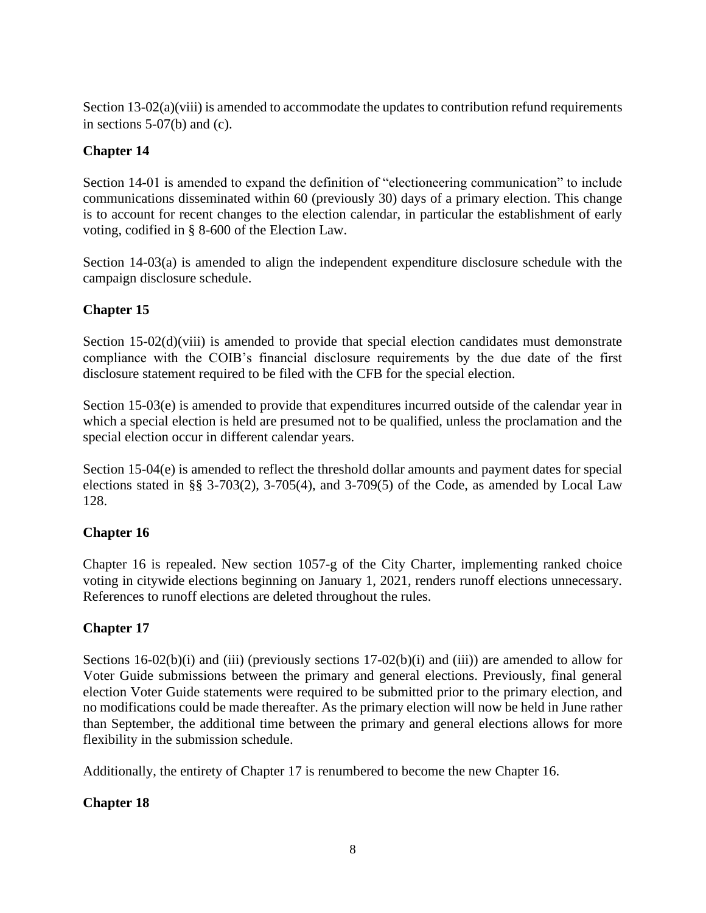Section 13-02(a)(viii) is amended to accommodate the updates to contribution refund requirements in sections 5-07(b) and (c).

# **Chapter 14**

Section 14-01 is amended to expand the definition of "electioneering communication" to include communications disseminated within 60 (previously 30) days of a primary election. This change is to account for recent changes to the election calendar, in particular the establishment of early voting, codified in § 8-600 of the Election Law.

Section 14-03(a) is amended to align the independent expenditure disclosure schedule with the campaign disclosure schedule.

# **Chapter 15**

Section 15-02(d)(viii) is amended to provide that special election candidates must demonstrate compliance with the COIB's financial disclosure requirements by the due date of the first disclosure statement required to be filed with the CFB for the special election.

Section 15-03(e) is amended to provide that expenditures incurred outside of the calendar year in which a special election is held are presumed not to be qualified, unless the proclamation and the special election occur in different calendar years.

Section 15-04(e) is amended to reflect the threshold dollar amounts and payment dates for special elections stated in §§ 3-703(2), 3-705(4), and 3-709(5) of the Code, as amended by Local Law 128.

# **Chapter 16**

Chapter 16 is repealed. New section 1057-g of the City Charter, implementing ranked choice voting in citywide elections beginning on January 1, 2021, renders runoff elections unnecessary. References to runoff elections are deleted throughout the rules.

# **Chapter 17**

Sections 16-02(b)(i) and (iii) (previously sections 17-02(b)(i) and (iii)) are amended to allow for Voter Guide submissions between the primary and general elections. Previously, final general election Voter Guide statements were required to be submitted prior to the primary election, and no modifications could be made thereafter. As the primary election will now be held in June rather than September, the additional time between the primary and general elections allows for more flexibility in the submission schedule.

Additionally, the entirety of Chapter 17 is renumbered to become the new Chapter 16.

# **Chapter 18**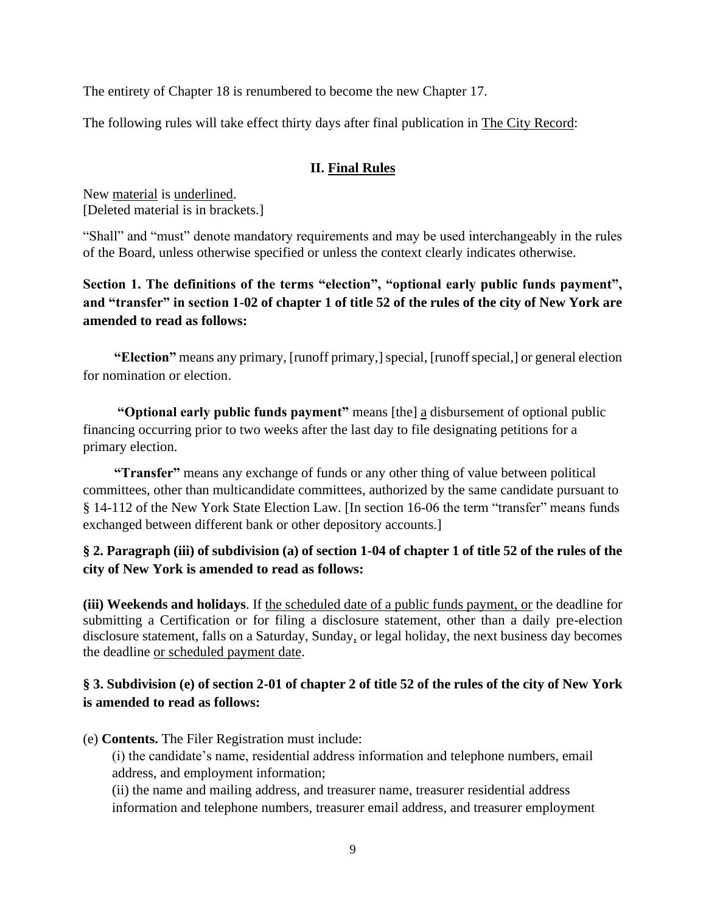The entirety of Chapter 18 is renumbered to become the new Chapter 17.

The following rules will take effect thirty days after final publication in The City Record:

### **II. Final Rules**

New material is underlined. [Deleted material is in brackets.]

"Shall" and "must" denote mandatory requirements and may be used interchangeably in the rules of the Board, unless otherwise specified or unless the context clearly indicates otherwise.

**Section 1. The definitions of the terms "election", "optional early public funds payment", and "transfer" in section 1-02 of chapter 1 of title 52 of the rules of the city of New York are amended to read as follows:**

**"Election"** means any primary, [runoff primary,] special, [runoff special,] or general election for nomination or election.

**"Optional early public funds payment"** means [the] a disbursement of optional public financing occurring prior to two weeks after the last day to file designating petitions for a primary election.

**"Transfer"** means any exchange of funds or any other thing of value between political committees, other than multicandidate committees, authorized by the same candidate pursuant to § 14-112 of the New York State Election Law. [In section 16-06 the term "transfer" means funds exchanged between different bank or other depository accounts.]

**§ 2. Paragraph (iii) of subdivision (a) of section 1-04 of chapter 1 of title 52 of the rules of the city of New York is amended to read as follows:**

**(iii) Weekends and holidays**. If the scheduled date of a public funds payment, or the deadline for submitting a Certification or for filing a disclosure statement, other than a daily pre-election disclosure statement, falls on a Saturday, Sunday, or legal holiday, the next business day becomes the deadline or scheduled payment date.

## **§ 3. Subdivision (e) of section 2-01 of chapter 2 of title 52 of the rules of the city of New York is amended to read as follows:**

(e) **Contents.** The Filer Registration must include:

(i) the candidate's name, residential address information and telephone numbers, email address, and employment information;

(ii) the name and mailing address, and treasurer name, treasurer residential address information and telephone numbers, treasurer email address, and treasurer employment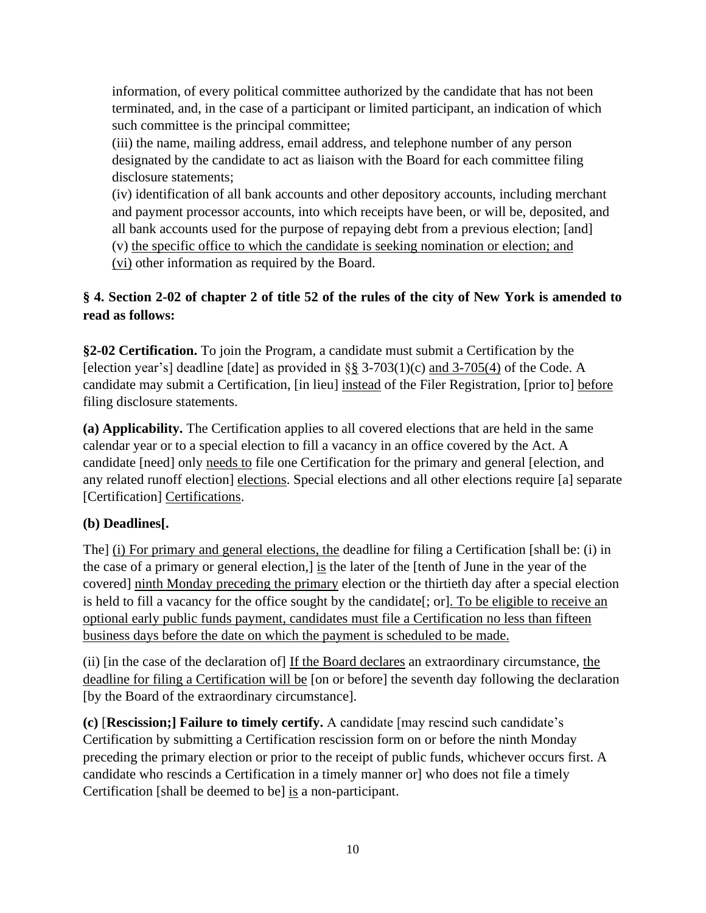information, of every political committee authorized by the candidate that has not been terminated, and, in the case of a participant or limited participant, an indication of which such committee is the principal committee;

(iii) the name, mailing address, email address, and telephone number of any person designated by the candidate to act as liaison with the Board for each committee filing disclosure statements;

(iv) identification of all bank accounts and other depository accounts, including merchant and payment processor accounts, into which receipts have been, or will be, deposited, and all bank accounts used for the purpose of repaying debt from a previous election; [and]

(v) the specific office to which the candidate is seeking nomination or election; and

(vi) other information as required by the Board.

# **§ 4. Section 2-02 of chapter 2 of title 52 of the rules of the city of New York is amended to read as follows:**

**§2-02 Certification.** To join the Program, a candidate must submit a Certification by the [election year's] deadline [date] as provided in  $\S$ § 3-703(1)(c) and 3-705(4) of the Code. A candidate may submit a Certification, [in lieu] instead of the Filer Registration, [prior to] before filing disclosure statements.

**(a) Applicability.** The Certification applies to all covered elections that are held in the same calendar year or to a special election to fill a vacancy in an office covered by the Act. A candidate [need] only needs to file one Certification for the primary and general [election, and any related runoff election] elections. Special elections and all other elections require [a] separate [Certification] Certifications.

# **(b) Deadlines[.**

The] (i) For primary and general elections, the deadline for filing a Certification [shall be: (i) in the case of a primary or general election,] is the later of the [tenth of June in the year of the covered] ninth Monday preceding the primary election or the thirtieth day after a special election is held to fill a vacancy for the office sought by the candidate [; or]. To be eligible to receive an optional early public funds payment, candidates must file a Certification no less than fifteen business days before the date on which the payment is scheduled to be made.

(ii) [in the case of the declaration of] If the Board declares an extraordinary circumstance, the deadline for filing a Certification will be [on or before] the seventh day following the declaration [by the Board of the extraordinary circumstance].

**(c)** [**Rescission;] Failure to timely certify.** A candidate [may rescind such candidate's Certification by submitting a Certification rescission form on or before the ninth Monday preceding the primary election or prior to the receipt of public funds, whichever occurs first. A candidate who rescinds a Certification in a timely manner or] who does not file a timely Certification [shall be deemed to be] is a non-participant.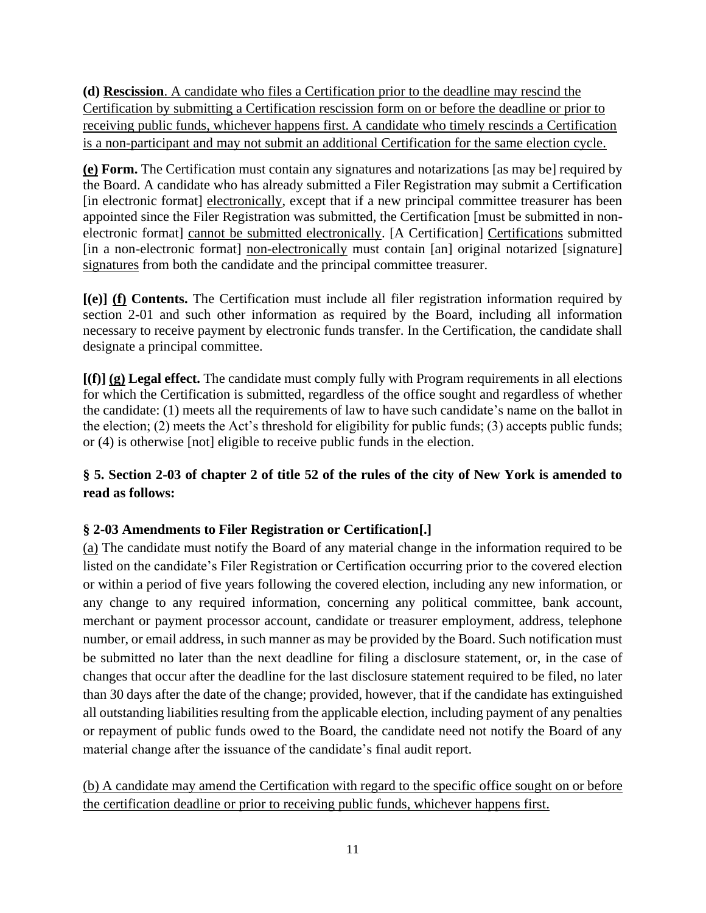**(d) Rescission**. A candidate who files a Certification prior to the deadline may rescind the Certification by submitting a Certification rescission form on or before the deadline or prior to receiving public funds, whichever happens first. A candidate who timely rescinds a Certification is a non-participant and may not submit an additional Certification for the same election cycle.

**(e) Form.** The Certification must contain any signatures and notarizations [as may be] required by the Board. A candidate who has already submitted a Filer Registration may submit a Certification [in electronic format] electronically, except that if a new principal committee treasurer has been appointed since the Filer Registration was submitted, the Certification [must be submitted in nonelectronic format] cannot be submitted electronically. [A Certification] Certifications submitted [in a non-electronic format] non-electronically must contain [an] original notarized [signature] signatures from both the candidate and the principal committee treasurer.

**[(e)] (f) Contents.** The Certification must include all filer registration information required by section 2-01 and such other information as required by the Board, including all information necessary to receive payment by electronic funds transfer. In the Certification, the candidate shall designate a principal committee.

**[(f)] (g) Legal effect.** The candidate must comply fully with Program requirements in all elections for which the Certification is submitted, regardless of the office sought and regardless of whether the candidate: (1) meets all the requirements of law to have such candidate's name on the ballot in the election; (2) meets the Act's threshold for eligibility for public funds; (3) accepts public funds; or (4) is otherwise [not] eligible to receive public funds in the election.

# **§ 5. Section 2-03 of chapter 2 of title 52 of the rules of the city of New York is amended to read as follows:**

# **§ 2-03 Amendments to Filer Registration or Certification[.]**

(a) The candidate must notify the Board of any material change in the information required to be listed on the candidate's Filer Registration or Certification occurring prior to the covered election or within a period of five years following the covered election, including any new information, or any change to any required information, concerning any political committee, bank account, merchant or payment processor account, candidate or treasurer employment, address, telephone number, or email address, in such manner as may be provided by the Board. Such notification must be submitted no later than the next deadline for filing a disclosure statement, or, in the case of changes that occur after the deadline for the last disclosure statement required to be filed, no later than 30 days after the date of the change; provided, however, that if the candidate has extinguished all outstanding liabilities resulting from the applicable election, including payment of any penalties or repayment of public funds owed to the Board, the candidate need not notify the Board of any material change after the issuance of the candidate's final audit report.

(b) A candidate may amend the Certification with regard to the specific office sought on or before the certification deadline or prior to receiving public funds, whichever happens first.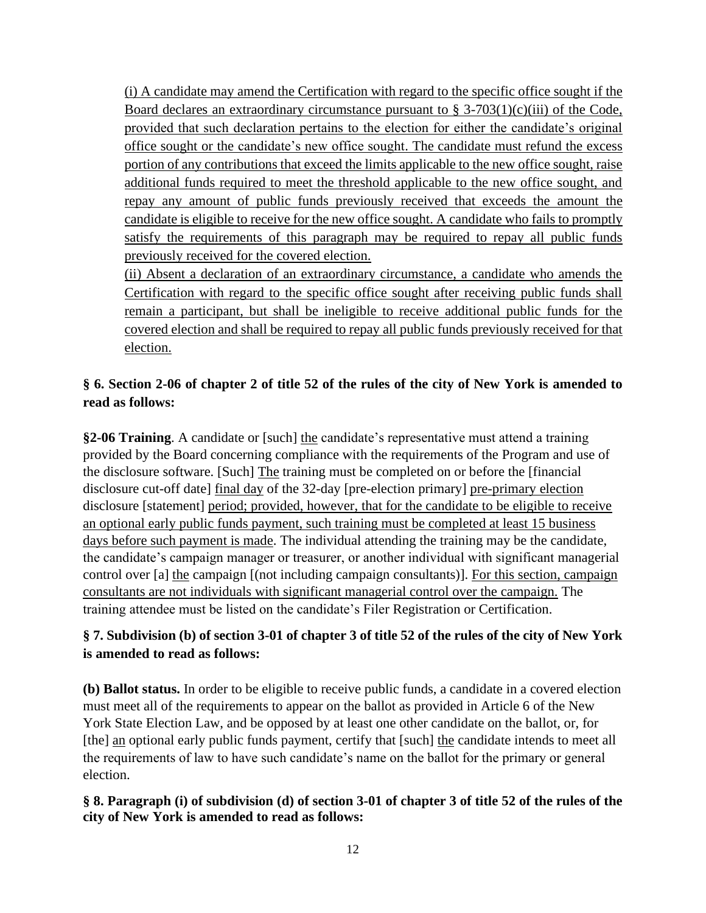(i) A candidate may amend the Certification with regard to the specific office sought if the Board declares an extraordinary circumstance pursuant to  $\S 3-703(1)(c)(iii)$  of the Code, provided that such declaration pertains to the election for either the candidate's original office sought or the candidate's new office sought. The candidate must refund the excess portion of any contributions that exceed the limits applicable to the new office sought, raise additional funds required to meet the threshold applicable to the new office sought, and repay any amount of public funds previously received that exceeds the amount the candidate is eligible to receive for the new office sought. A candidate who fails to promptly satisfy the requirements of this paragraph may be required to repay all public funds previously received for the covered election.

(ii) Absent a declaration of an extraordinary circumstance, a candidate who amends the Certification with regard to the specific office sought after receiving public funds shall remain a participant, but shall be ineligible to receive additional public funds for the covered election and shall be required to repay all public funds previously received for that election.

# **§ 6. Section 2-06 of chapter 2 of title 52 of the rules of the city of New York is amended to read as follows:**

**§2-06 Training**. A candidate or [such] the candidate's representative must attend a training provided by the Board concerning compliance with the requirements of the Program and use of the disclosure software. [Such] The training must be completed on or before the [financial disclosure cut-off date] final day of the 32-day [pre-election primary] pre-primary election disclosure [statement] period; provided, however, that for the candidate to be eligible to receive an optional early public funds payment, such training must be completed at least 15 business days before such payment is made. The individual attending the training may be the candidate, the candidate's campaign manager or treasurer, or another individual with significant managerial control over [a] the campaign [(not including campaign consultants)]. For this section, campaign consultants are not individuals with significant managerial control over the campaign. The training attendee must be listed on the candidate's Filer Registration or Certification.

# **§ 7. Subdivision (b) of section 3-01 of chapter 3 of title 52 of the rules of the city of New York is amended to read as follows:**

**(b) Ballot status.** In order to be eligible to receive public funds, a candidate in a covered election must meet all of the requirements to appear on the ballot as provided in Article 6 of the New York State Election Law, and be opposed by at least one other candidate on the ballot, or, for [the] an optional early public funds payment, certify that [such] the candidate intends to meet all the requirements of law to have such candidate's name on the ballot for the primary or general election.

### **§ 8. Paragraph (i) of subdivision (d) of section 3-01 of chapter 3 of title 52 of the rules of the city of New York is amended to read as follows:**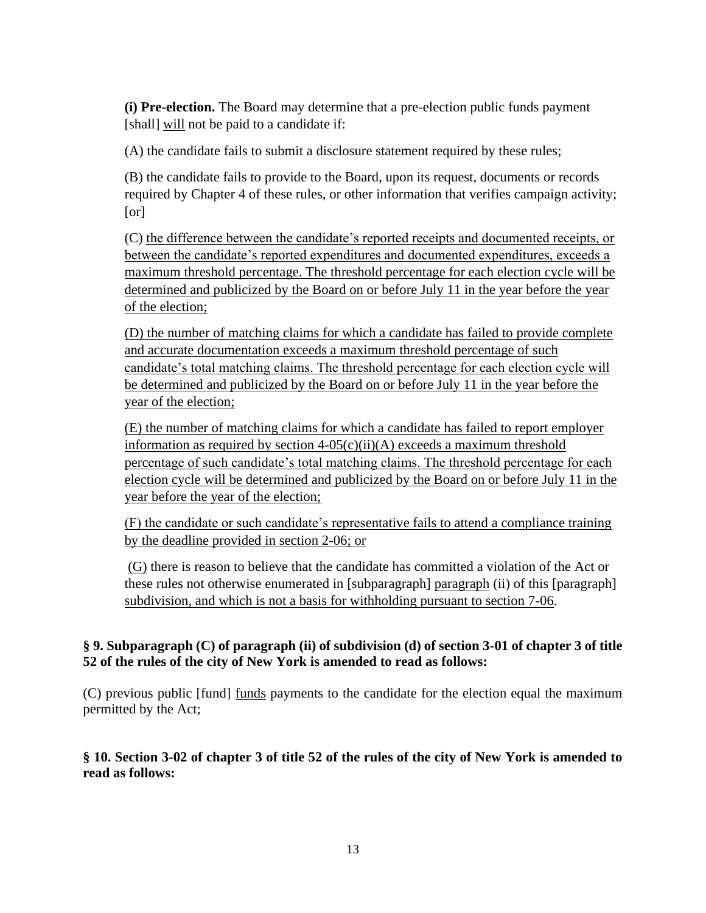**(i) Pre-election.** The Board may determine that a pre-election public funds payment [shall] will not be paid to a candidate if:

(A) the candidate fails to submit a disclosure statement required by these rules;

(B) the candidate fails to provide to the Board, upon its request, documents or records required by Chapter 4 of these rules, or other information that verifies campaign activity; [or]

(C) the difference between the candidate's reported receipts and documented receipts, or between the candidate's reported expenditures and documented expenditures, exceeds a maximum threshold percentage. The threshold percentage for each election cycle will be determined and publicized by the Board on or before July 11 in the year before the year of the election;

(D) the number of matching claims for which a candidate has failed to provide complete and accurate documentation exceeds a maximum threshold percentage of such candidate's total matching claims. The threshold percentage for each election cycle will be determined and publicized by the Board on or before July 11 in the year before the year of the election;

(E) the number of matching claims for which a candidate has failed to report employer information as required by section  $4-05(c)(ii)(A)$  exceeds a maximum threshold percentage of such candidate's total matching claims. The threshold percentage for each election cycle will be determined and publicized by the Board on or before July 11 in the year before the year of the election;

(F) the candidate or such candidate's representative fails to attend a compliance training by the deadline provided in section 2-06; or

(G) there is reason to believe that the candidate has committed a violation of the Act or these rules not otherwise enumerated in [subparagraph] paragraph (ii) of this [paragraph] subdivision, and which is not a basis for withholding pursuant to section 7-06.

### **§ 9. Subparagraph (C) of paragraph (ii) of subdivision (d) of section 3-01 of chapter 3 of title 52 of the rules of the city of New York is amended to read as follows:**

(C) previous public [fund] funds payments to the candidate for the election equal the maximum permitted by the Act;

## **§ 10. Section 3-02 of chapter 3 of title 52 of the rules of the city of New York is amended to read as follows:**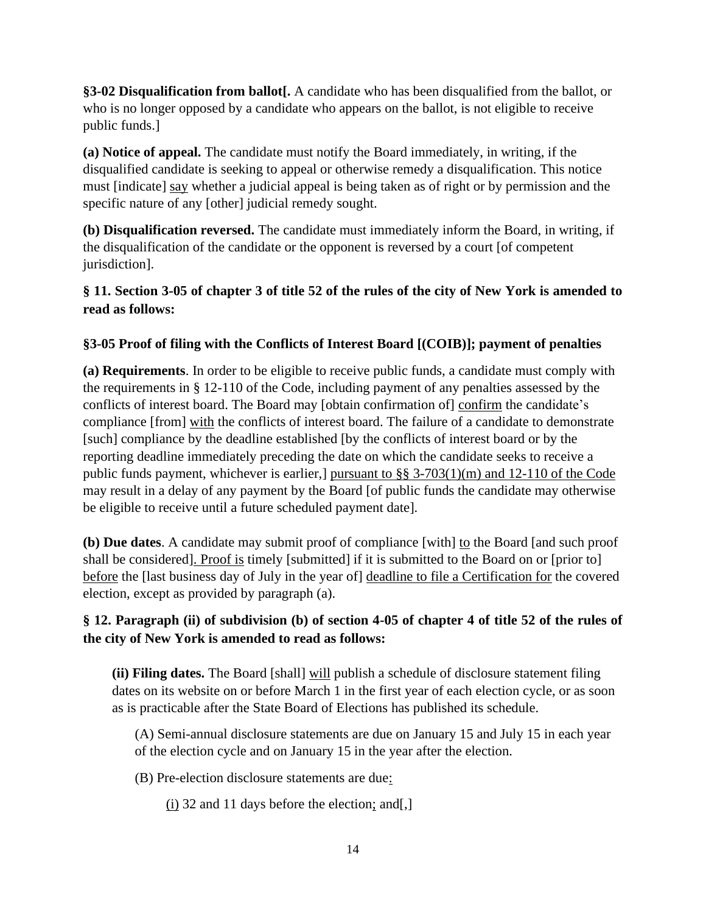**§3-02 Disqualification from ballot[.** A candidate who has been disqualified from the ballot, or who is no longer opposed by a candidate who appears on the ballot, is not eligible to receive public funds.]

**(a) Notice of appeal.** The candidate must notify the Board immediately, in writing, if the disqualified candidate is seeking to appeal or otherwise remedy a disqualification. This notice must [indicate] say whether a judicial appeal is being taken as of right or by permission and the specific nature of any [other] judicial remedy sought.

**(b) Disqualification reversed.** The candidate must immediately inform the Board, in writing, if the disqualification of the candidate or the opponent is reversed by a court [of competent jurisdiction].

# **§ 11. Section 3-05 of chapter 3 of title 52 of the rules of the city of New York is amended to read as follows:**

# **§3-05 Proof of filing with the Conflicts of Interest Board [(COIB)]; payment of penalties**

**(a) Requirements**. In order to be eligible to receive public funds, a candidate must comply with the requirements in § 12-110 of the Code, including payment of any penalties assessed by the conflicts of interest board. The Board may [obtain confirmation of] confirm the candidate's compliance [from] with the conflicts of interest board. The failure of a candidate to demonstrate [such] compliance by the deadline established [by the conflicts of interest board or by the reporting deadline immediately preceding the date on which the candidate seeks to receive a public funds payment, whichever is earlier,] pursuant to §§ 3-703(1)(m) and 12-110 of the Code may result in a delay of any payment by the Board [of public funds the candidate may otherwise be eligible to receive until a future scheduled payment date].

**(b) Due dates**. A candidate may submit proof of compliance [with] to the Board [and such proof shall be considered]. Proof is timely [submitted] if it is submitted to the Board on or [prior to] before the [last business day of July in the year of] deadline to file a Certification for the covered election, except as provided by paragraph (a).

# **§ 12. Paragraph (ii) of subdivision (b) of section 4-05 of chapter 4 of title 52 of the rules of the city of New York is amended to read as follows:**

**(ii) Filing dates.** The Board [shall] will publish a schedule of disclosure statement filing dates on its website on or before March 1 in the first year of each election cycle, or as soon as is practicable after the State Board of Elections has published its schedule.

(A) Semi-annual disclosure statements are due on January 15 and July 15 in each year of the election cycle and on January 15 in the year after the election.

(B) Pre-election disclosure statements are due:

(i) 32 and 11 days before the election; and  $\lceil$ ,  $\rceil$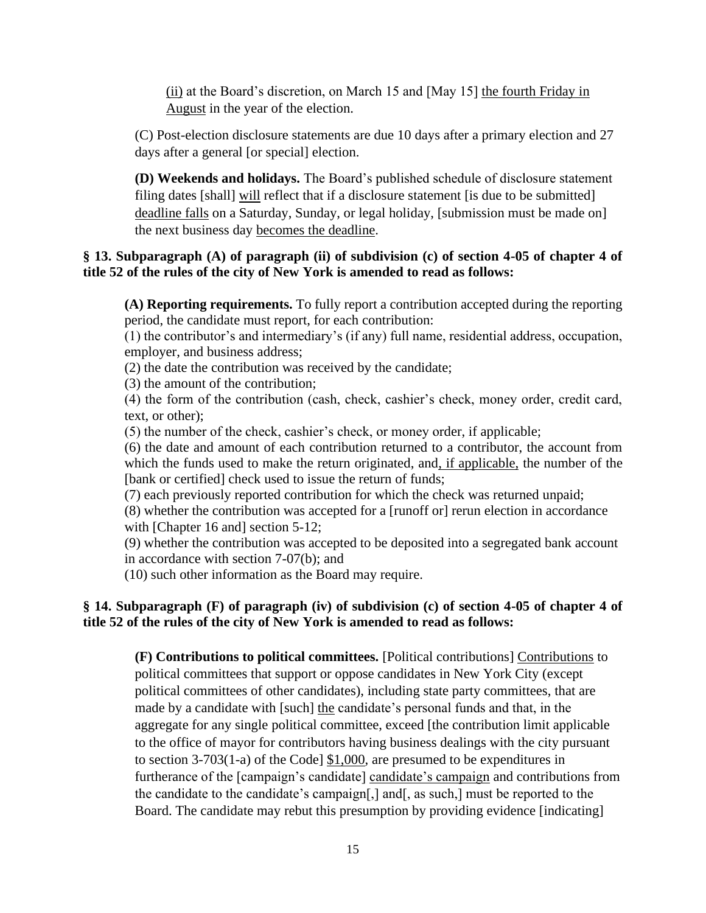(ii) at the Board's discretion, on March 15 and [May 15] the fourth Friday in August in the year of the election.

(C) Post-election disclosure statements are due 10 days after a primary election and 27 days after a general [or special] election.

**(D) Weekends and holidays.** The Board's published schedule of disclosure statement filing dates [shall] will reflect that if a disclosure statement [is due to be submitted] deadline falls on a Saturday, Sunday, or legal holiday, [submission must be made on] the next business day becomes the deadline.

#### **§ 13. Subparagraph (A) of paragraph (ii) of subdivision (c) of section 4-05 of chapter 4 of title 52 of the rules of the city of New York is amended to read as follows:**

**(A) Reporting requirements.** To fully report a contribution accepted during the reporting period, the candidate must report, for each contribution:

(1) the contributor's and intermediary's (if any) full name, residential address, occupation, employer, and business address;

(2) the date the contribution was received by the candidate;

(3) the amount of the contribution;

(4) the form of the contribution (cash, check, cashier's check, money order, credit card, text, or other);

(5) the number of the check, cashier's check, or money order, if applicable;

(6) the date and amount of each contribution returned to a contributor, the account from which the funds used to make the return originated, and, if applicable, the number of the [bank or certified] check used to issue the return of funds;

(7) each previously reported contribution for which the check was returned unpaid;

(8) whether the contribution was accepted for a [runoff or] rerun election in accordance with [Chapter 16 and] section 5-12;

(9) whether the contribution was accepted to be deposited into a segregated bank account in accordance with section 7-07(b); and

(10) such other information as the Board may require.

#### **§ 14. Subparagraph (F) of paragraph (iv) of subdivision (c) of section 4-05 of chapter 4 of title 52 of the rules of the city of New York is amended to read as follows:**

**(F) Contributions to political committees.** [Political contributions] Contributions to political committees that support or oppose candidates in New York City (except political committees of other candidates), including state party committees, that are made by a candidate with [such] the candidate's personal funds and that, in the aggregate for any single political committee, exceed [the contribution limit applicable to the office of mayor for contributors having business dealings with the city pursuant to section 3-703(1-a) of the Code] \$1,000, are presumed to be expenditures in furtherance of the [campaign's candidate] candidate's campaign and contributions from the candidate to the candidate's campaign[,] and[, as such,] must be reported to the Board. The candidate may rebut this presumption by providing evidence [indicating]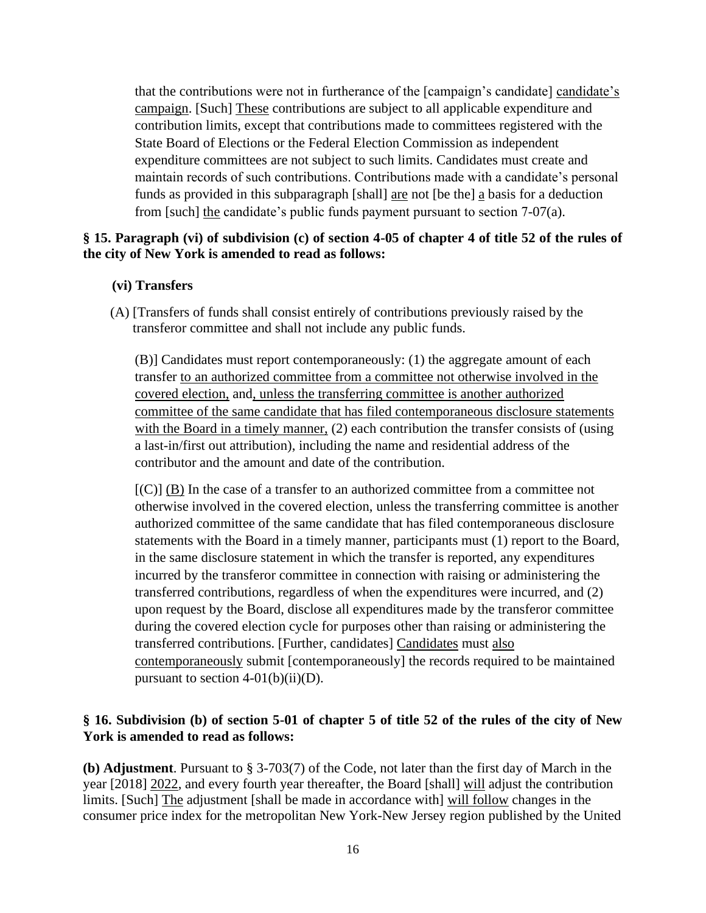that the contributions were not in furtherance of the [campaign's candidate] candidate's campaign. [Such] These contributions are subject to all applicable expenditure and contribution limits, except that contributions made to committees registered with the State Board of Elections or the Federal Election Commission as independent expenditure committees are not subject to such limits. Candidates must create and maintain records of such contributions. Contributions made with a candidate's personal funds as provided in this subparagraph [shall] are not [be the] a basis for a deduction from [such] the candidate's public funds payment pursuant to section 7-07(a).

#### **§ 15. Paragraph (vi) of subdivision (c) of section 4-05 of chapter 4 of title 52 of the rules of the city of New York is amended to read as follows:**

#### **(vi) Transfers**

(A) [Transfers of funds shall consist entirely of contributions previously raised by the transferor committee and shall not include any public funds.

(B)] Candidates must report contemporaneously: (1) the aggregate amount of each transfer to an authorized committee from a committee not otherwise involved in the covered election, and, unless the transferring committee is another authorized committee of the same candidate that has filed contemporaneous disclosure statements with the Board in a timely manner, (2) each contribution the transfer consists of (using a last-in/first out attribution), including the name and residential address of the contributor and the amount and date of the contribution.

 $[{\rm (C)}]$  (B) In the case of a transfer to an authorized committee from a committee not otherwise involved in the covered election, unless the transferring committee is another authorized committee of the same candidate that has filed contemporaneous disclosure statements with the Board in a timely manner, participants must (1) report to the Board, in the same disclosure statement in which the transfer is reported, any expenditures incurred by the transferor committee in connection with raising or administering the transferred contributions, regardless of when the expenditures were incurred, and (2) upon request by the Board, disclose all expenditures made by the transferor committee during the covered election cycle for purposes other than raising or administering the transferred contributions. [Further, candidates] Candidates must also contemporaneously submit [contemporaneously] the records required to be maintained pursuant to section  $4-01(b)(ii)(D)$ .

#### **§ 16. Subdivision (b) of section 5-01 of chapter 5 of title 52 of the rules of the city of New York is amended to read as follows:**

**(b) Adjustment**. Pursuant to § 3-703(7) of the Code, not later than the first day of March in the year [2018] 2022, and every fourth year thereafter, the Board [shall] will adjust the contribution limits. [Such] The adjustment [shall be made in accordance with] will follow changes in the consumer price index for the metropolitan New York-New Jersey region published by the United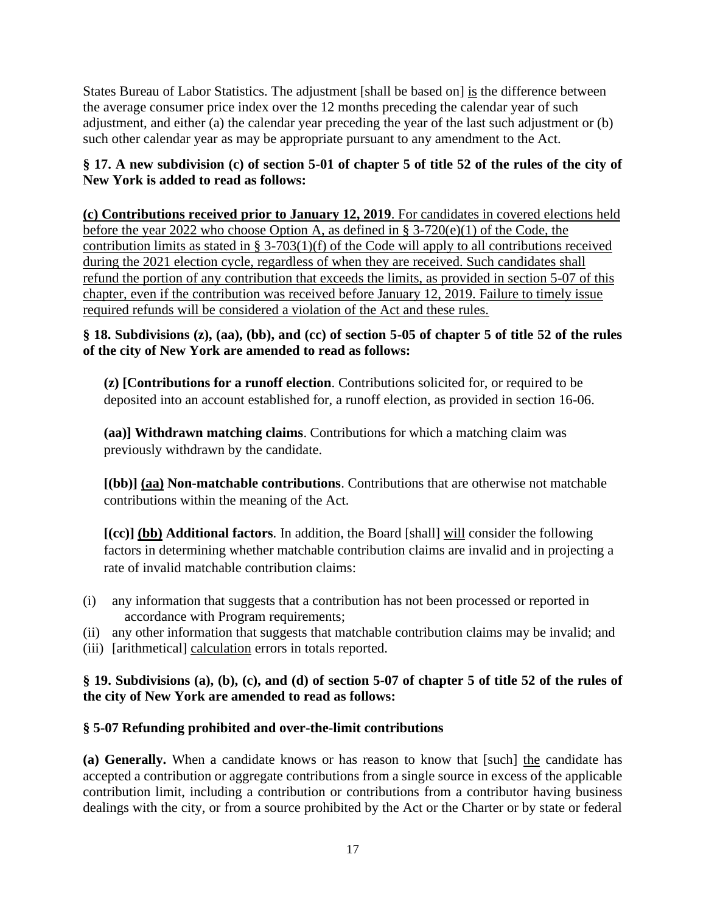States Bureau of Labor Statistics. The adjustment [shall be based on] is the difference between the average consumer price index over the 12 months preceding the calendar year of such adjustment, and either (a) the calendar year preceding the year of the last such adjustment or (b) such other calendar year as may be appropriate pursuant to any amendment to the Act.

### **§ 17. A new subdivision (c) of section 5-01 of chapter 5 of title 52 of the rules of the city of New York is added to read as follows:**

**(c) Contributions received prior to January 12, 2019**. For candidates in covered elections held before the year 2022 who choose Option A, as defined in § 3-720(e)(1) of the Code, the contribution limits as stated in § 3-703(1)(f) of the Code will apply to all contributions received during the 2021 election cycle, regardless of when they are received. Such candidates shall refund the portion of any contribution that exceeds the limits, as provided in section 5-07 of this chapter, even if the contribution was received before January 12, 2019. Failure to timely issue required refunds will be considered a violation of the Act and these rules.

### **§ 18. Subdivisions (z), (aa), (bb), and (cc) of section 5-05 of chapter 5 of title 52 of the rules of the city of New York are amended to read as follows:**

**(z) [Contributions for a runoff election**. Contributions solicited for, or required to be deposited into an account established for, a runoff election, as provided in section 16-06.

**(aa)] Withdrawn matching claims**. Contributions for which a matching claim was previously withdrawn by the candidate.

**[(bb)] (aa) Non-matchable contributions**. Contributions that are otherwise not matchable contributions within the meaning of the Act.

**[(cc)] (bb) Additional factors**. In addition, the Board [shall] will consider the following factors in determining whether matchable contribution claims are invalid and in projecting a rate of invalid matchable contribution claims:

- (i) any information that suggests that a contribution has not been processed or reported in accordance with Program requirements;
- (ii) any other information that suggests that matchable contribution claims may be invalid; and
- (iii) [arithmetical] calculation errors in totals reported.

## **§ 19. Subdivisions (a), (b), (c), and (d) of section 5-07 of chapter 5 of title 52 of the rules of the city of New York are amended to read as follows:**

# **§ 5-07 Refunding prohibited and over-the-limit contributions**

**(a) Generally.** When a candidate knows or has reason to know that [such] the candidate has accepted a contribution or aggregate contributions from a single source in excess of the applicable contribution limit, including a contribution or contributions from a contributor having business dealings with the city, or from a source prohibited by the Act or the Charter or by state or federal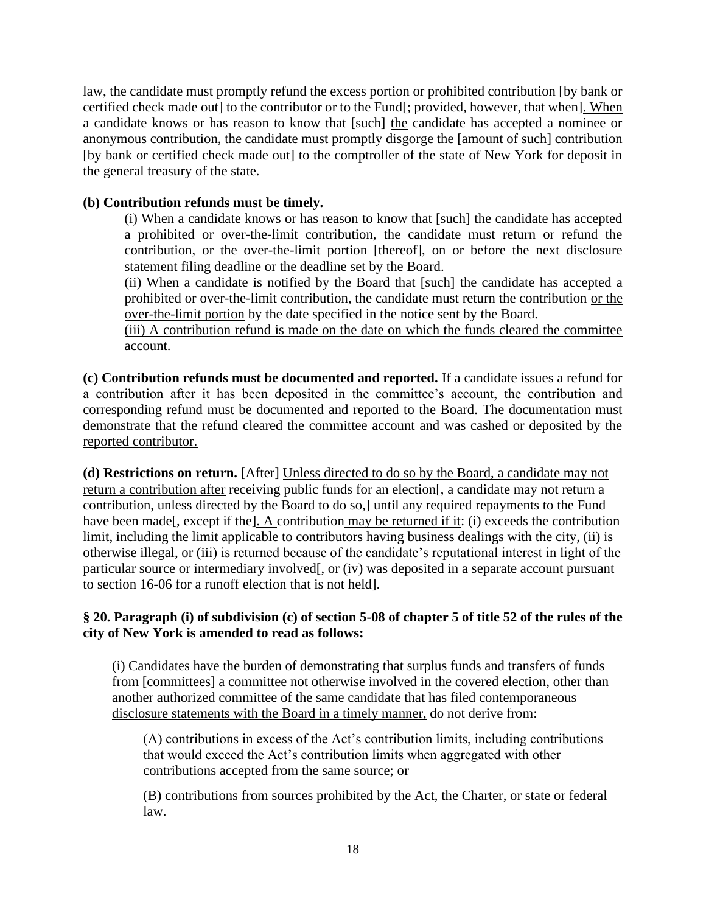law, the candidate must promptly refund the excess portion or prohibited contribution [by bank or certified check made out] to the contributor or to the Fund[; provided, however, that when]. When a candidate knows or has reason to know that [such] the candidate has accepted a nominee or anonymous contribution, the candidate must promptly disgorge the [amount of such] contribution [by bank or certified check made out] to the comptroller of the state of New York for deposit in the general treasury of the state.

#### **(b) Contribution refunds must be timely.**

(i) When a candidate knows or has reason to know that [such] the candidate has accepted a prohibited or over-the-limit contribution, the candidate must return or refund the contribution, or the over-the-limit portion [thereof], on or before the next disclosure statement filing deadline or the deadline set by the Board.

(ii) When a candidate is notified by the Board that [such] the candidate has accepted a prohibited or over-the-limit contribution, the candidate must return the contribution or the over-the-limit portion by the date specified in the notice sent by the Board.

(iii) A contribution refund is made on the date on which the funds cleared the committee account.

**(c) Contribution refunds must be documented and reported.** If a candidate issues a refund for a contribution after it has been deposited in the committee's account, the contribution and corresponding refund must be documented and reported to the Board. The documentation must demonstrate that the refund cleared the committee account and was cashed or deposited by the reported contributor.

**(d) Restrictions on return.** [After] Unless directed to do so by the Board, a candidate may not return a contribution after receiving public funds for an election[, a candidate may not return a contribution, unless directed by the Board to do so,] until any required repayments to the Fund have been made<sup>[</sup>, except if the<sup>[</sup>]. A contribution may be returned if it: (i) exceeds the contribution limit, including the limit applicable to contributors having business dealings with the city, (ii) is otherwise illegal, or (iii) is returned because of the candidate's reputational interest in light of the particular source or intermediary involved[, or (iv) was deposited in a separate account pursuant to section 16-06 for a runoff election that is not held].

### **§ 20. Paragraph (i) of subdivision (c) of section 5-08 of chapter 5 of title 52 of the rules of the city of New York is amended to read as follows:**

(i) Candidates have the burden of demonstrating that surplus funds and transfers of funds from [committees] a committee not otherwise involved in the covered election, other than another authorized committee of the same candidate that has filed contemporaneous disclosure statements with the Board in a timely manner, do not derive from:

(A) contributions in excess of the Act's contribution limits, including contributions that would exceed the Act's contribution limits when aggregated with other contributions accepted from the same source; or

(B) contributions from sources prohibited by the Act, the Charter, or state or federal law.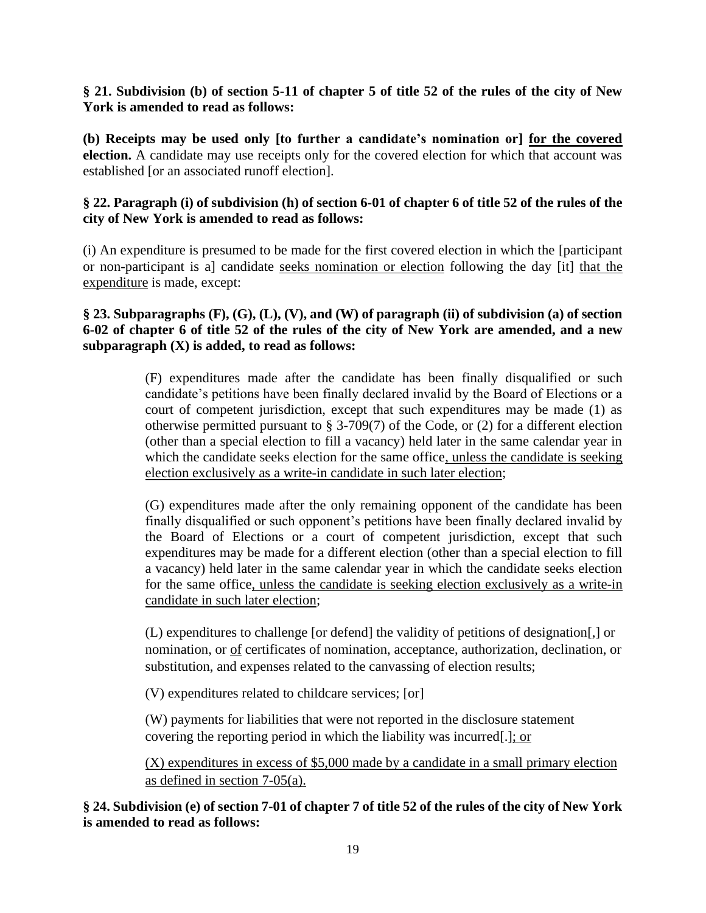#### **§ 21. Subdivision (b) of section 5-11 of chapter 5 of title 52 of the rules of the city of New York is amended to read as follows:**

**(b) Receipts may be used only [to further a candidate's nomination or] for the covered election.** A candidate may use receipts only for the covered election for which that account was established [or an associated runoff election].

#### **§ 22. Paragraph (i) of subdivision (h) of section 6-01 of chapter 6 of title 52 of the rules of the city of New York is amended to read as follows:**

(i) An expenditure is presumed to be made for the first covered election in which the [participant or non-participant is a] candidate seeks nomination or election following the day [it] that the expenditure is made, except:

#### **§ 23. Subparagraphs (F), (G), (L), (V), and (W) of paragraph (ii) of subdivision (a) of section 6-02 of chapter 6 of title 52 of the rules of the city of New York are amended, and a new subparagraph (X) is added, to read as follows:**

(F) expenditures made after the candidate has been finally disqualified or such candidate's petitions have been finally declared invalid by the Board of Elections or a court of competent jurisdiction, except that such expenditures may be made (1) as otherwise permitted pursuant to § 3-709(7) of the Code, or (2) for a different election (other than a special election to fill a vacancy) held later in the same calendar year in which the candidate seeks election for the same office, unless the candidate is seeking election exclusively as a write-in candidate in such later election;

(G) expenditures made after the only remaining opponent of the candidate has been finally disqualified or such opponent's petitions have been finally declared invalid by the Board of Elections or a court of competent jurisdiction, except that such expenditures may be made for a different election (other than a special election to fill a vacancy) held later in the same calendar year in which the candidate seeks election for the same office, unless the candidate is seeking election exclusively as a write-in candidate in such later election;

(L) expenditures to challenge [or defend] the validity of petitions of designation[,] or nomination, or of certificates of nomination, acceptance, authorization, declination, or substitution, and expenses related to the canvassing of election results;

(V) expenditures related to childcare services; [or]

(W) payments for liabilities that were not reported in the disclosure statement covering the reporting period in which the liability was incurred[.]; or

(X) expenditures in excess of \$5,000 made by a candidate in a small primary election as defined in section 7-05(a).

### **§ 24. Subdivision (e) of section 7-01 of chapter 7 of title 52 of the rules of the city of New York is amended to read as follows:**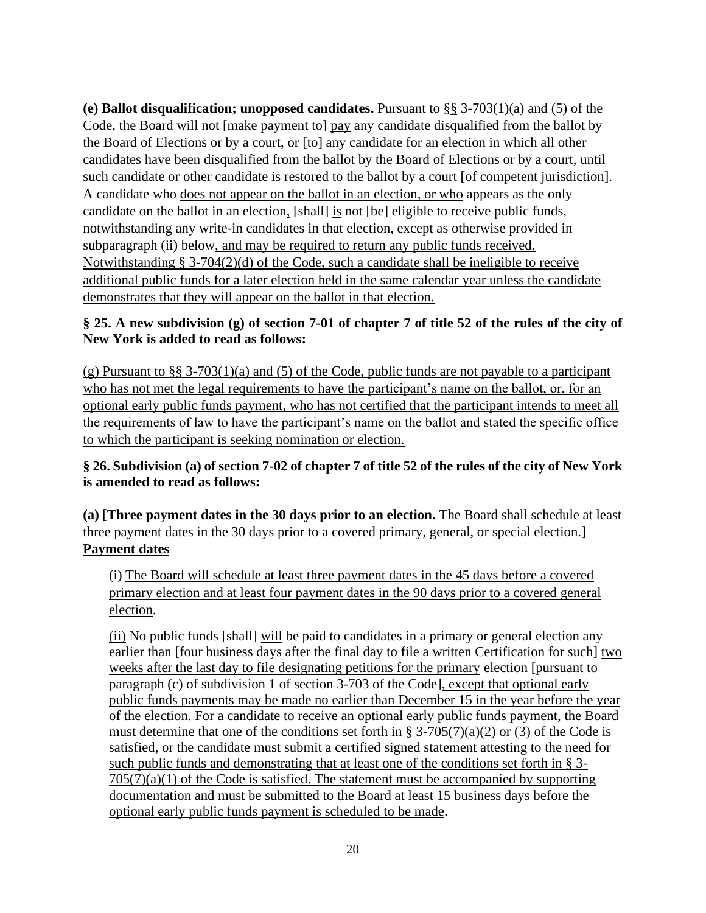**(e) Ballot disqualification; unopposed candidates.** Pursuant to §§ 3-703(1)(a) and (5) of the Code, the Board will not [make payment to] pay any candidate disqualified from the ballot by the Board of Elections or by a court, or [to] any candidate for an election in which all other candidates have been disqualified from the ballot by the Board of Elections or by a court, until such candidate or other candidate is restored to the ballot by a court [of competent jurisdiction]. A candidate who does not appear on the ballot in an election, or who appears as the only candidate on the ballot in an election, [shall] is not [be] eligible to receive public funds, notwithstanding any write-in candidates in that election, except as otherwise provided in subparagraph (ii) below, and may be required to return any public funds received. Notwithstanding § 3-704(2)(d) of the Code, such a candidate shall be ineligible to receive additional public funds for a later election held in the same calendar year unless the candidate demonstrates that they will appear on the ballot in that election.

### **§ 25. A new subdivision (g) of section 7-01 of chapter 7 of title 52 of the rules of the city of New York is added to read as follows:**

(g) Pursuant to §§ 3-703(1)(a) and (5) of the Code, public funds are not payable to a participant who has not met the legal requirements to have the participant's name on the ballot, or, for an optional early public funds payment, who has not certified that the participant intends to meet all the requirements of law to have the participant's name on the ballot and stated the specific office to which the participant is seeking nomination or election.

## **§ 26. Subdivision (a) of section 7-02 of chapter 7 of title 52 of the rules of the city of New York is amended to read as follows:**

**(a)** [**Three payment dates in the 30 days prior to an election.** The Board shall schedule at least three payment dates in the 30 days prior to a covered primary, general, or special election.] **Payment dates**

(i) The Board will schedule at least three payment dates in the 45 days before a covered primary election and at least four payment dates in the 90 days prior to a covered general election.

(ii) No public funds [shall] will be paid to candidates in a primary or general election any earlier than [four business days after the final day to file a written Certification for such] two weeks after the last day to file designating petitions for the primary election [pursuant to paragraph (c) of subdivision 1 of section 3-703 of the Code], except that optional early public funds payments may be made no earlier than December 15 in the year before the year of the election. For a candidate to receive an optional early public funds payment, the Board must determine that one of the conditions set forth in § 3-705(7)(a)(2) or (3) of the Code is satisfied, or the candidate must submit a certified signed statement attesting to the need for such public funds and demonstrating that at least one of the conditions set forth in § 3-  $705(7)(a)(1)$  of the Code is satisfied. The statement must be accompanied by supporting documentation and must be submitted to the Board at least 15 business days before the optional early public funds payment is scheduled to be made.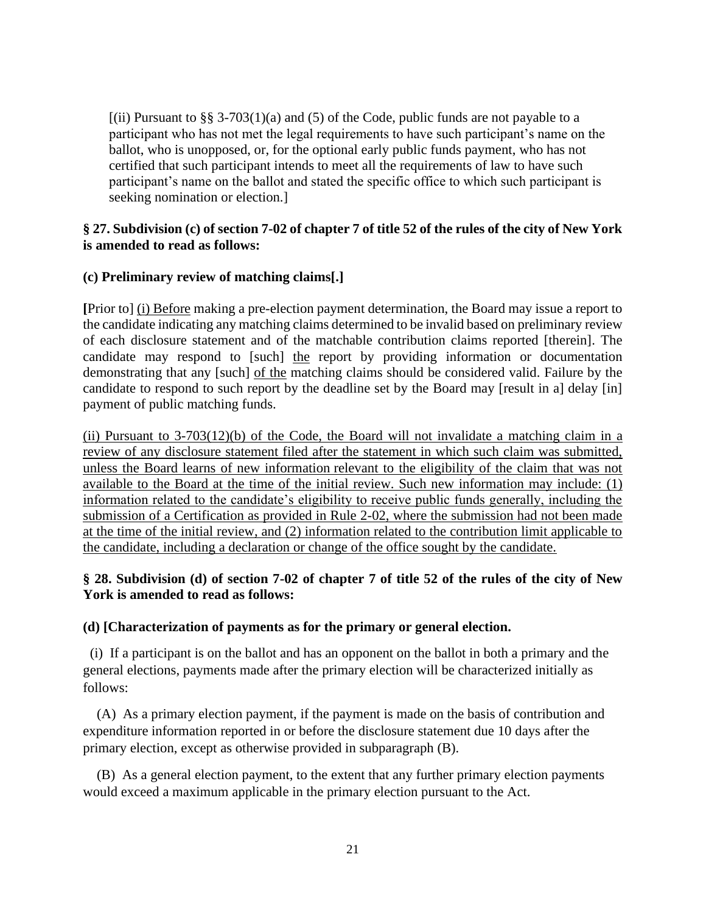$[(ii)$  Pursuant to §§ 3-703(1)(a) and (5) of the Code, public funds are not payable to a participant who has not met the legal requirements to have such participant's name on the ballot, who is unopposed, or, for the optional early public funds payment, who has not certified that such participant intends to meet all the requirements of law to have such participant's name on the ballot and stated the specific office to which such participant is seeking nomination or election.]

### **§ 27. Subdivision (c) of section 7-02 of chapter 7 of title 52 of the rules of the city of New York is amended to read as follows:**

### **(c) Preliminary review of matching claims[.]**

**[**Prior to] (i) Before making a pre-election payment determination, the Board may issue a report to the candidate indicating any matching claims determined to be invalid based on preliminary review of each disclosure statement and of the matchable contribution claims reported [therein]. The candidate may respond to [such] the report by providing information or documentation demonstrating that any [such] of the matching claims should be considered valid. Failure by the candidate to respond to such report by the deadline set by the Board may [result in a] delay [in] payment of public matching funds.

(ii) Pursuant to  $3-703(12)$ (b) of the Code, the Board will not invalidate a matching claim in a review of any disclosure statement filed after the statement in which such claim was submitted, unless the Board learns of new information relevant to the eligibility of the claim that was not available to the Board at the time of the initial review. Such new information may include: (1) information related to the candidate's eligibility to receive public funds generally, including the submission of a Certification as provided in Rule 2-02, where the submission had not been made at the time of the initial review, and (2) information related to the contribution limit applicable to the candidate, including a declaration or change of the office sought by the candidate.

### **§ 28. Subdivision (d) of section 7-02 of chapter 7 of title 52 of the rules of the city of New York is amended to read as follows:**

### **(d) [Characterization of payments as for the primary or general election.**

 (i) If a participant is on the ballot and has an opponent on the ballot in both a primary and the general elections, payments made after the primary election will be characterized initially as follows:

 (A) As a primary election payment, if the payment is made on the basis of contribution and expenditure information reported in or before the disclosure statement due 10 days after the primary election, except as otherwise provided in subparagraph (B).

 (B) As a general election payment, to the extent that any further primary election payments would exceed a maximum applicable in the primary election pursuant to the Act.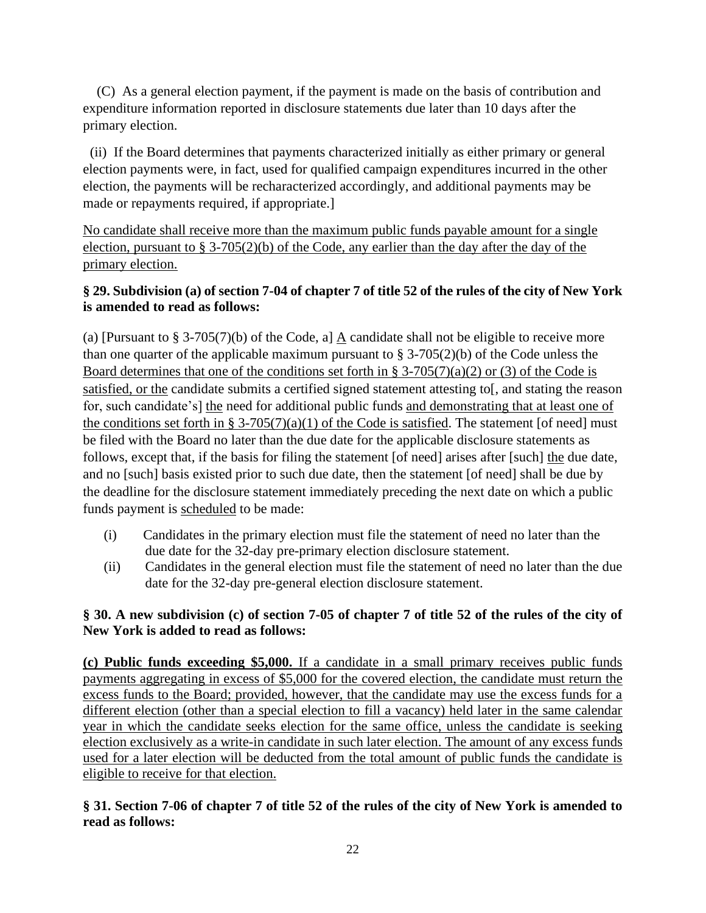(C) As a general election payment, if the payment is made on the basis of contribution and expenditure information reported in disclosure statements due later than 10 days after the primary election.

 (ii) If the Board determines that payments characterized initially as either primary or general election payments were, in fact, used for qualified campaign expenditures incurred in the other election, the payments will be recharacterized accordingly, and additional payments may be made or repayments required, if appropriate.]

No candidate shall receive more than the maximum public funds payable amount for a single election, pursuant to § 3-705(2)(b) of the Code, any earlier than the day after the day of the primary election.

## **§ 29. Subdivision (a) of section 7-04 of chapter 7 of title 52 of the rules of the city of New York is amended to read as follows:**

(a) [Pursuant to § 3-705(7)(b) of the Code, a] A candidate shall not be eligible to receive more than one quarter of the applicable maximum pursuant to  $\S 3-705(2)(b)$  of the Code unless the Board determines that one of the conditions set forth in § 3-705(7)(a)(2) or (3) of the Code is satisfied, or the candidate submits a certified signed statement attesting to and stating the reason for, such candidate's] the need for additional public funds and demonstrating that at least one of the conditions set forth in § 3-705(7)(a)(1) of the Code is satisfied. The statement [of need] must be filed with the Board no later than the due date for the applicable disclosure statements as follows, except that, if the basis for filing the statement [of need] arises after [such] the due date, and no [such] basis existed prior to such due date, then the statement [of need] shall be due by the deadline for the disclosure statement immediately preceding the next date on which a public funds payment is scheduled to be made:

- (i) Candidates in the primary election must file the statement of need no later than the due date for the 32-day pre-primary election disclosure statement.
- (ii) Candidates in the general election must file the statement of need no later than the due date for the 32-day pre-general election disclosure statement.

# **§ 30. A new subdivision (c) of section 7-05 of chapter 7 of title 52 of the rules of the city of New York is added to read as follows:**

**(c) Public funds exceeding \$5,000.** If a candidate in a small primary receives public funds payments aggregating in excess of \$5,000 for the covered election, the candidate must return the excess funds to the Board; provided, however, that the candidate may use the excess funds for a different election (other than a special election to fill a vacancy) held later in the same calendar year in which the candidate seeks election for the same office, unless the candidate is seeking election exclusively as a write-in candidate in such later election. The amount of any excess funds used for a later election will be deducted from the total amount of public funds the candidate is eligible to receive for that election.

## **§ 31. Section 7-06 of chapter 7 of title 52 of the rules of the city of New York is amended to read as follows:**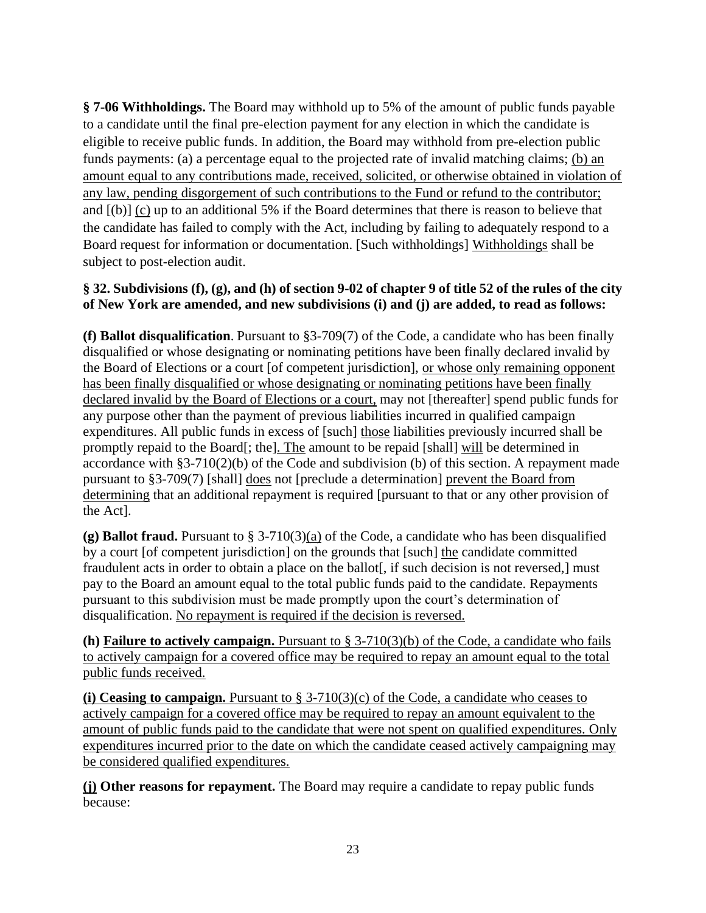**§ 7-06 Withholdings.** The Board may withhold up to 5% of the amount of public funds payable to a candidate until the final pre-election payment for any election in which the candidate is eligible to receive public funds. In addition, the Board may withhold from pre-election public funds payments: (a) a percentage equal to the projected rate of invalid matching claims; (b) an amount equal to any contributions made, received, solicited, or otherwise obtained in violation of any law, pending disgorgement of such contributions to the Fund or refund to the contributor; and [(b)] (c) up to an additional 5% if the Board determines that there is reason to believe that the candidate has failed to comply with the Act, including by failing to adequately respond to a Board request for information or documentation. [Such withholdings] Withholdings shall be subject to post-election audit.

### **§ 32. Subdivisions (f), (g), and (h) of section 9-02 of chapter 9 of title 52 of the rules of the city of New York are amended, and new subdivisions (i) and (j) are added, to read as follows:**

**(f) Ballot disqualification**. Pursuant to §3-709(7) of the Code, a candidate who has been finally disqualified or whose designating or nominating petitions have been finally declared invalid by the Board of Elections or a court [of competent jurisdiction], or whose only remaining opponent has been finally disqualified or whose designating or nominating petitions have been finally declared invalid by the Board of Elections or a court, may not [thereafter] spend public funds for any purpose other than the payment of previous liabilities incurred in qualified campaign expenditures. All public funds in excess of [such] those liabilities previously incurred shall be promptly repaid to the Board[; the]. The amount to be repaid [shall] will be determined in accordance with §3-710(2)(b) of the Code and subdivision (b) of this section. A repayment made pursuant to §3-709(7) [shall] does not [preclude a determination] prevent the Board from determining that an additional repayment is required [pursuant to that or any other provision of the Act].

**(g) Ballot fraud.** Pursuant to § 3-710(3)(a) of the Code, a candidate who has been disqualified by a court [of competent jurisdiction] on the grounds that [such] the candidate committed fraudulent acts in order to obtain a place on the ballot<sup>[</sup>, if such decision is not reversed,] must pay to the Board an amount equal to the total public funds paid to the candidate. Repayments pursuant to this subdivision must be made promptly upon the court's determination of disqualification. No repayment is required if the decision is reversed.

**(h) Failure to actively campaign.** Pursuant to § 3-710(3)(b) of the Code, a candidate who fails to actively campaign for a covered office may be required to repay an amount equal to the total public funds received.

**(i) Ceasing to campaign.** Pursuant to § 3-710(3)(c) of the Code, a candidate who ceases to actively campaign for a covered office may be required to repay an amount equivalent to the amount of public funds paid to the candidate that were not spent on qualified expenditures. Only expenditures incurred prior to the date on which the candidate ceased actively campaigning may be considered qualified expenditures.

**(j) Other reasons for repayment.** The Board may require a candidate to repay public funds because: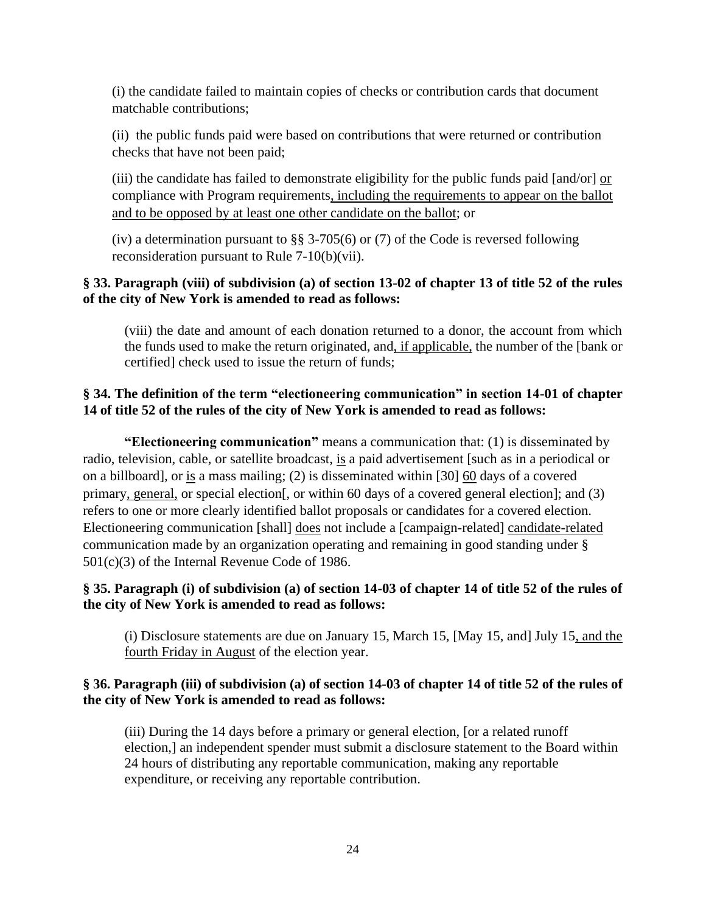(i) the candidate failed to maintain copies of checks or contribution cards that document matchable contributions;

(ii) the public funds paid were based on contributions that were returned or contribution checks that have not been paid;

(iii) the candidate has failed to demonstrate eligibility for the public funds paid  $[and/or]$  or compliance with Program requirements, including the requirements to appear on the ballot and to be opposed by at least one other candidate on the ballot; or

(iv) a determination pursuant to §§ 3-705(6) or (7) of the Code is reversed following reconsideration pursuant to Rule 7-10(b)(vii).

### **§ 33. Paragraph (viii) of subdivision (a) of section 13-02 of chapter 13 of title 52 of the rules of the city of New York is amended to read as follows:**

(viii) the date and amount of each donation returned to a donor, the account from which the funds used to make the return originated, and, if applicable, the number of the [bank or certified] check used to issue the return of funds;

### **§ 34. The definition of the term "electioneering communication" in section 14-01 of chapter 14 of title 52 of the rules of the city of New York is amended to read as follows:**

**"Electioneering communication"** means a communication that: (1) is disseminated by radio, television, cable, or satellite broadcast, is a paid advertisement [such as in a periodical or on a billboard], or is a mass mailing; (2) is disseminated within [30] 60 days of a covered primary, general, or special election[, or within 60 days of a covered general election]; and (3) refers to one or more clearly identified ballot proposals or candidates for a covered election. Electioneering communication [shall] does not include a [campaign-related] candidate-related communication made by an organization operating and remaining in good standing under § 501(c)(3) of the Internal Revenue Code of 1986.

#### **§ 35. Paragraph (i) of subdivision (a) of section 14-03 of chapter 14 of title 52 of the rules of the city of New York is amended to read as follows:**

(i) Disclosure statements are due on January 15, March 15, [May 15, and] July 15, and the fourth Friday in August of the election year.

### **§ 36. Paragraph (iii) of subdivision (a) of section 14-03 of chapter 14 of title 52 of the rules of the city of New York is amended to read as follows:**

(iii) During the 14 days before a primary or general election, [or a related runoff election,] an independent spender must submit a disclosure statement to the Board within 24 hours of distributing any reportable communication, making any reportable expenditure, or receiving any reportable contribution.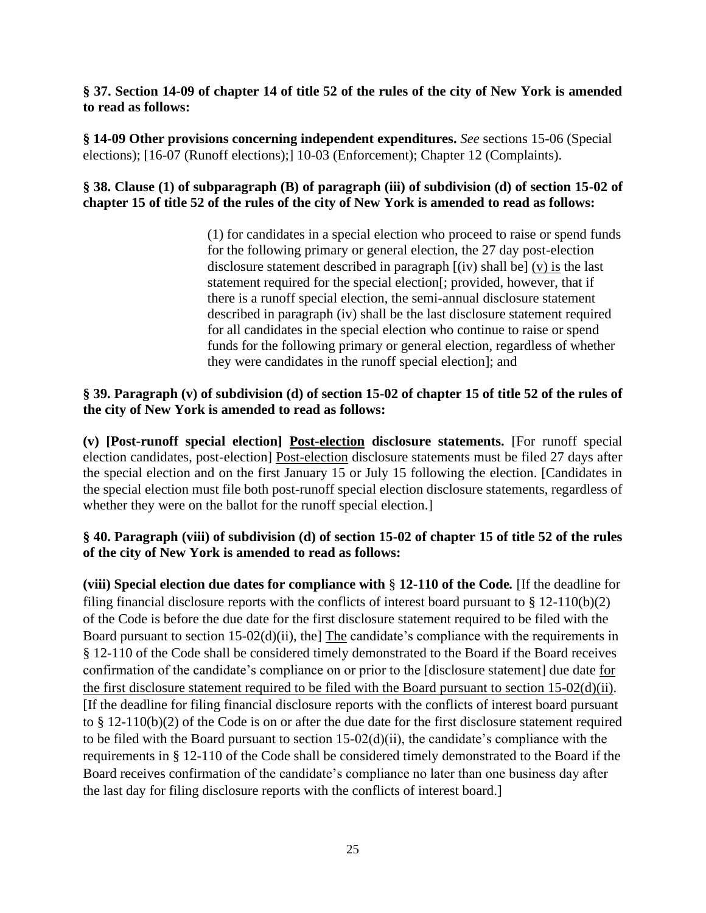#### **§ 37. Section 14-09 of chapter 14 of title 52 of the rules of the city of New York is amended to read as follows:**

**§ 14-09 Other provisions concerning independent expenditures.** *See* sections 15-06 (Special elections); [16-07 (Runoff elections);] 10-03 (Enforcement); Chapter 12 (Complaints).

### **§ 38. Clause (1) of subparagraph (B) of paragraph (iii) of subdivision (d) of section 15-02 of chapter 15 of title 52 of the rules of the city of New York is amended to read as follows:**

(1) for candidates in a special election who proceed to raise or spend funds for the following primary or general election, the 27 day post-election disclosure statement described in paragraph [(iv) shall be] (v) is the last statement required for the special election[; provided, however, that if there is a runoff special election, the semi-annual disclosure statement described in paragraph (iv) shall be the last disclosure statement required for all candidates in the special election who continue to raise or spend funds for the following primary or general election, regardless of whether they were candidates in the runoff special election]; and

### **§ 39. Paragraph (v) of subdivision (d) of section 15-02 of chapter 15 of title 52 of the rules of the city of New York is amended to read as follows:**

**(v) [Post-runoff special election] Post-election disclosure statements.** [For runoff special election candidates, post-election] Post-election disclosure statements must be filed 27 days after the special election and on the first January 15 or July 15 following the election. [Candidates in the special election must file both post-runoff special election disclosure statements, regardless of whether they were on the ballot for the runoff special election.]

### **§ 40. Paragraph (viii) of subdivision (d) of section 15-02 of chapter 15 of title 52 of the rules of the city of New York is amended to read as follows:**

**(viii) Special election due dates for compliance with** § **12-110 of the Code***.* [If the deadline for filing financial disclosure reports with the conflicts of interest board pursuant to § 12-110(b)(2) of the Code is before the due date for the first disclosure statement required to be filed with the Board pursuant to section 15-02(d)(ii), the] The candidate's compliance with the requirements in § 12-110 of the Code shall be considered timely demonstrated to the Board if the Board receives confirmation of the candidate's compliance on or prior to the [disclosure statement] due date for the first disclosure statement required to be filed with the Board pursuant to section 15-02(d)(ii). [If the deadline for filing financial disclosure reports with the conflicts of interest board pursuant to § 12-110(b)(2) of the Code is on or after the due date for the first disclosure statement required to be filed with the Board pursuant to section 15-02(d)(ii), the candidate's compliance with the requirements in § 12-110 of the Code shall be considered timely demonstrated to the Board if the Board receives confirmation of the candidate's compliance no later than one business day after the last day for filing disclosure reports with the conflicts of interest board.]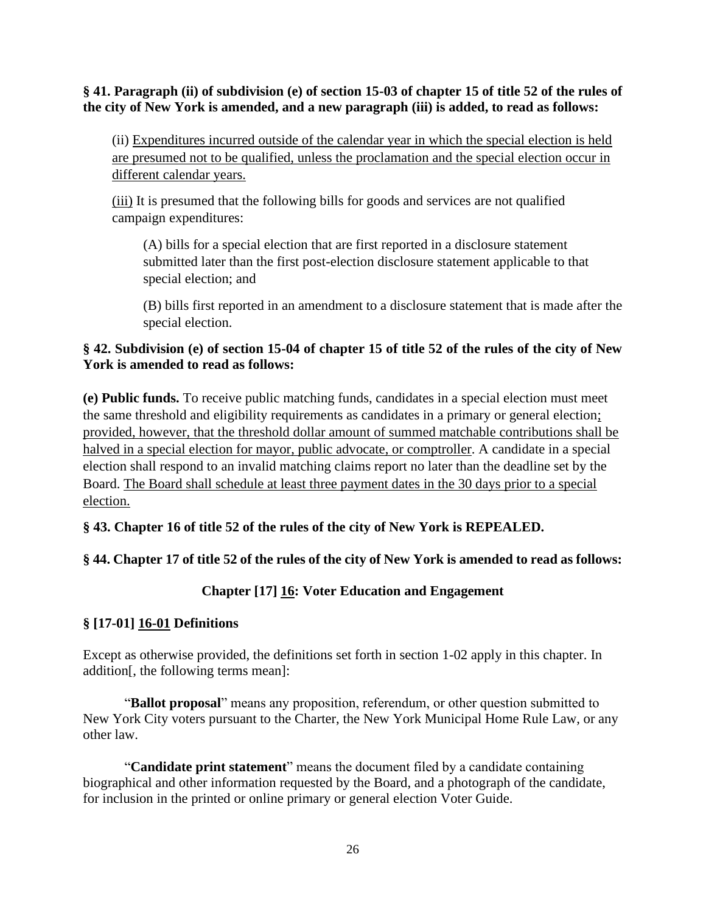### **§ 41. Paragraph (ii) of subdivision (e) of section 15-03 of chapter 15 of title 52 of the rules of the city of New York is amended, and a new paragraph (iii) is added, to read as follows:**

(ii) Expenditures incurred outside of the calendar year in which the special election is held are presumed not to be qualified, unless the proclamation and the special election occur in different calendar years.

(iii) It is presumed that the following bills for goods and services are not qualified campaign expenditures:

(A) bills for a special election that are first reported in a disclosure statement submitted later than the first post-election disclosure statement applicable to that special election; and

(B) bills first reported in an amendment to a disclosure statement that is made after the special election.

### **§ 42. Subdivision (e) of section 15-04 of chapter 15 of title 52 of the rules of the city of New York is amended to read as follows:**

**(e) Public funds.** To receive public matching funds, candidates in a special election must meet the same threshold and eligibility requirements as candidates in a primary or general election; provided, however, that the threshold dollar amount of summed matchable contributions shall be halved in a special election for mayor, public advocate, or comptroller. A candidate in a special election shall respond to an invalid matching claims report no later than the deadline set by the Board. The Board shall schedule at least three payment dates in the 30 days prior to a special election.

### **§ 43. Chapter 16 of title 52 of the rules of the city of New York is REPEALED.**

### **§ 44. Chapter 17 of title 52 of the rules of the city of New York is amended to read as follows:**

### **Chapter [17] 16: Voter Education and Engagement**

### **§ [17-01] 16-01 Definitions**

Except as otherwise provided, the definitions set forth in section 1-02 apply in this chapter. In addition[, the following terms mean]:

"**Ballot proposal**" means any proposition, referendum, or other question submitted to New York City voters pursuant to the Charter, the New York Municipal Home Rule Law, or any other law.

"**Candidate print statement**" means the document filed by a candidate containing biographical and other information requested by the Board, and a photograph of the candidate, for inclusion in the printed or online primary or general election Voter Guide.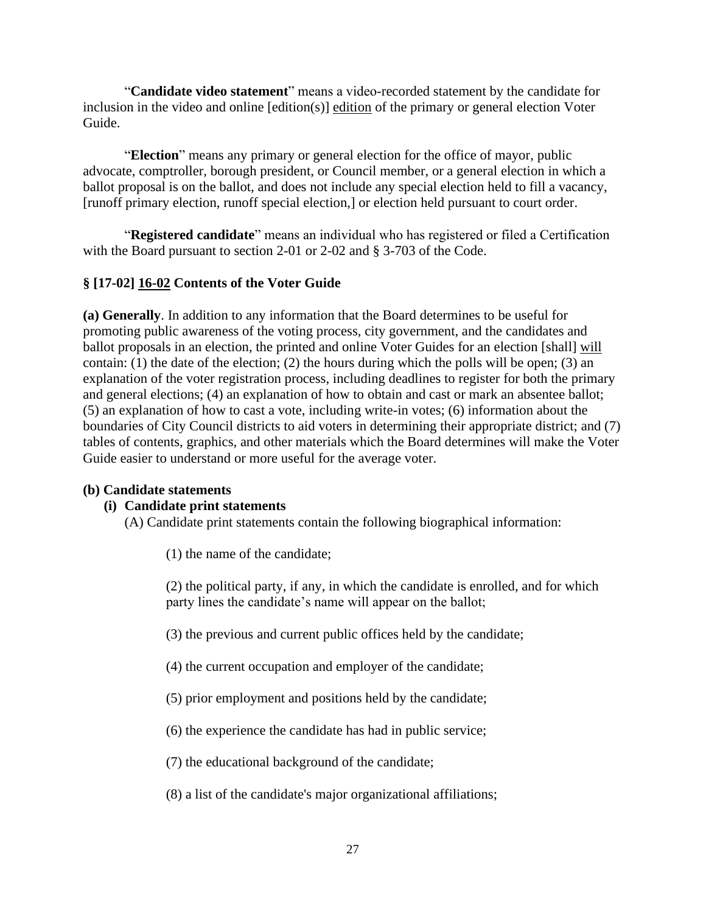"**Candidate video statement**" means a video-recorded statement by the candidate for inclusion in the video and online [edition(s)] edition of the primary or general election Voter Guide.

"**Election**" means any primary or general election for the office of mayor, public advocate, comptroller, borough president, or Council member, or a general election in which a ballot proposal is on the ballot, and does not include any special election held to fill a vacancy, [runoff primary election, runoff special election,] or election held pursuant to court order.

"**Registered candidate**" means an individual who has registered or filed a Certification with the Board pursuant to section 2-01 or 2-02 and § 3-703 of the Code.

## **§ [17-02] 16-02 Contents of the Voter Guide**

**(a) Generally**. In addition to any information that the Board determines to be useful for promoting public awareness of the voting process, city government, and the candidates and ballot proposals in an election, the printed and online Voter Guides for an election [shall] will contain: (1) the date of the election; (2) the hours during which the polls will be open; (3) an explanation of the voter registration process, including deadlines to register for both the primary and general elections; (4) an explanation of how to obtain and cast or mark an absentee ballot; (5) an explanation of how to cast a vote, including write-in votes; (6) information about the boundaries of City Council districts to aid voters in determining their appropriate district; and (7) tables of contents, graphics, and other materials which the Board determines will make the Voter Guide easier to understand or more useful for the average voter.

### **(b) Candidate statements**

### **(i) Candidate print statements**

(A) Candidate print statements contain the following biographical information:

(1) the name of the candidate;

(2) the political party, if any, in which the candidate is enrolled, and for which party lines the candidate's name will appear on the ballot;

(3) the previous and current public offices held by the candidate;

- (4) the current occupation and employer of the candidate;
- (5) prior employment and positions held by the candidate;
- (6) the experience the candidate has had in public service;

(7) the educational background of the candidate;

(8) a list of the candidate's major organizational affiliations;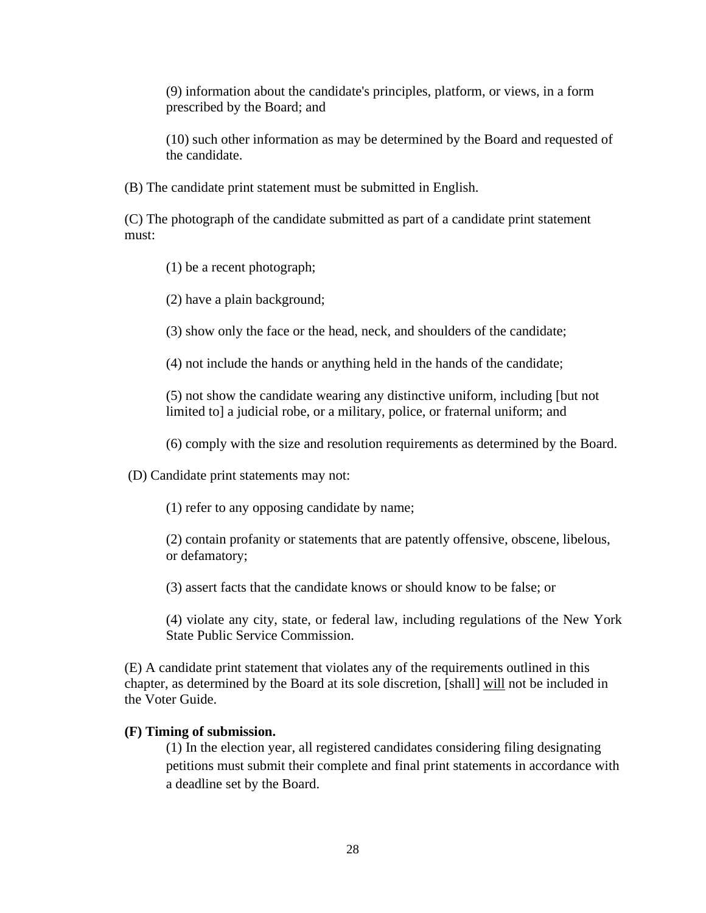(9) information about the candidate's principles, platform, or views, in a form prescribed by the Board; and

(10) such other information as may be determined by the Board and requested of the candidate.

(B) The candidate print statement must be submitted in English.

(C) The photograph of the candidate submitted as part of a candidate print statement must:

(1) be a recent photograph;

(2) have a plain background;

(3) show only the face or the head, neck, and shoulders of the candidate;

(4) not include the hands or anything held in the hands of the candidate;

(5) not show the candidate wearing any distinctive uniform, including [but not limited to] a judicial robe, or a military, police, or fraternal uniform; and

(6) comply with the size and resolution requirements as determined by the Board.

(D) Candidate print statements may not:

(1) refer to any opposing candidate by name;

(2) contain profanity or statements that are patently offensive, obscene, libelous, or defamatory;

(3) assert facts that the candidate knows or should know to be false; or

(4) violate any city, state, or federal law, including regulations of the New York State Public Service Commission.

(E) A candidate print statement that violates any of the requirements outlined in this chapter, as determined by the Board at its sole discretion, [shall] will not be included in the Voter Guide.

#### **(F) Timing of submission.**

(1) In the election year, all registered candidates considering filing designating petitions must submit their complete and final print statements in accordance with a deadline set by the Board.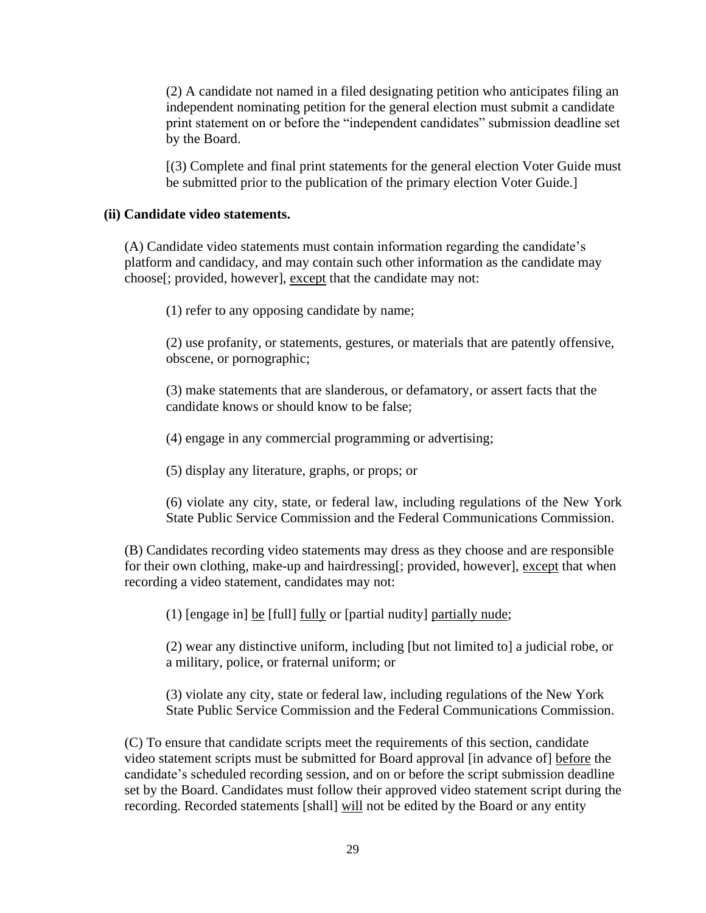(2) A candidate not named in a filed designating petition who anticipates filing an independent nominating petition for the general election must submit a candidate print statement on or before the "independent candidates" submission deadline set by the Board.

[(3) Complete and final print statements for the general election Voter Guide must be submitted prior to the publication of the primary election Voter Guide.]

#### **(ii) Candidate video statements.**

(A) Candidate video statements must contain information regarding the candidate's platform and candidacy, and may contain such other information as the candidate may choose[; provided, however], except that the candidate may not:

(1) refer to any opposing candidate by name;

(2) use profanity, or statements, gestures, or materials that are patently offensive, obscene, or pornographic;

(3) make statements that are slanderous, or defamatory, or assert facts that the candidate knows or should know to be false;

(4) engage in any commercial programming or advertising;

(5) display any literature, graphs, or props; or

(6) violate any city, state, or federal law, including regulations of the New York State Public Service Commission and the Federal Communications Commission.

(B) Candidates recording video statements may dress as they choose and are responsible for their own clothing, make-up and hairdressing[; provided, however], except that when recording a video statement, candidates may not:

(1) [engage in]  $be [full] fully or [partial multiply] partially nude;$ </u>

(2) wear any distinctive uniform, including [but not limited to] a judicial robe, or a military, police, or fraternal uniform; or

(3) violate any city, state or federal law, including regulations of the New York State Public Service Commission and the Federal Communications Commission.

(C) To ensure that candidate scripts meet the requirements of this section, candidate video statement scripts must be submitted for Board approval [in advance of] before the candidate's scheduled recording session, and on or before the script submission deadline set by the Board. Candidates must follow their approved video statement script during the recording. Recorded statements [shall] will not be edited by the Board or any entity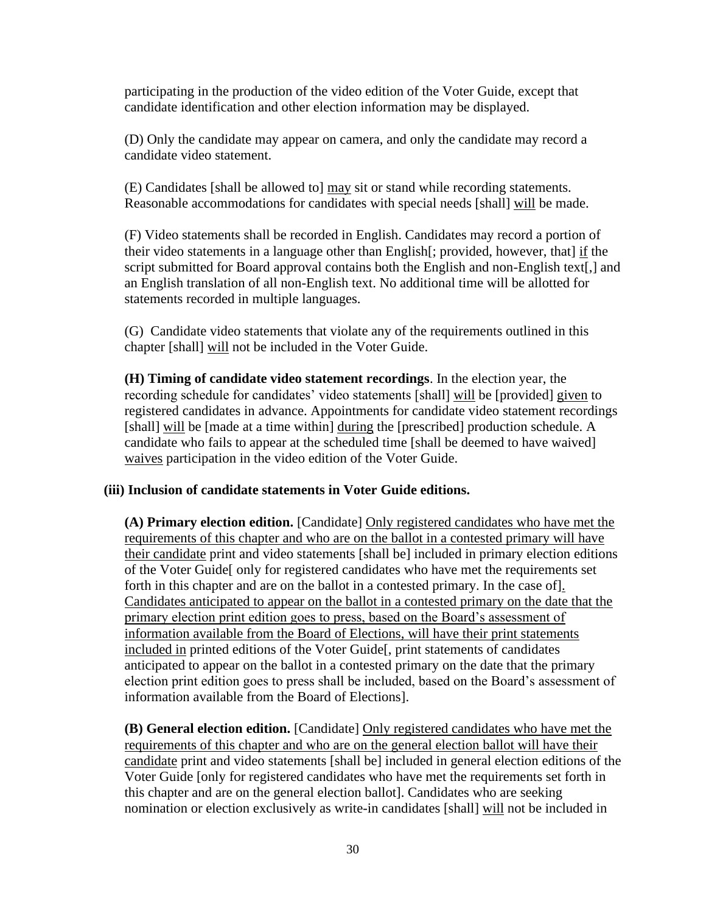participating in the production of the video edition of the Voter Guide, except that candidate identification and other election information may be displayed.

(D) Only the candidate may appear on camera, and only the candidate may record a candidate video statement.

(E) Candidates [shall be allowed to] may sit or stand while recording statements. Reasonable accommodations for candidates with special needs [shall] will be made.

(F) Video statements shall be recorded in English. Candidates may record a portion of their video statements in a language other than English[; provided, however, that] if the script submitted for Board approval contains both the English and non-English text[,] and an English translation of all non-English text. No additional time will be allotted for statements recorded in multiple languages.

(G) Candidate video statements that violate any of the requirements outlined in this chapter [shall] will not be included in the Voter Guide.

**(H) Timing of candidate video statement recordings**. In the election year, the recording schedule for candidates' video statements [shall] will be [provided] given to registered candidates in advance. Appointments for candidate video statement recordings [shall] will be [made at a time within] during the [prescribed] production schedule. A candidate who fails to appear at the scheduled time [shall be deemed to have waived] waives participation in the video edition of the Voter Guide.

#### **(iii) Inclusion of candidate statements in Voter Guide editions.**

**(A) Primary election edition.** [Candidate] Only registered candidates who have met the requirements of this chapter and who are on the ballot in a contested primary will have their candidate print and video statements [shall be] included in primary election editions of the Voter Guide[ only for registered candidates who have met the requirements set forth in this chapter and are on the ballot in a contested primary. In the case of]. Candidates anticipated to appear on the ballot in a contested primary on the date that the primary election print edition goes to press, based on the Board's assessment of information available from the Board of Elections, will have their print statements included in printed editions of the Voter Guide[, print statements of candidates anticipated to appear on the ballot in a contested primary on the date that the primary election print edition goes to press shall be included, based on the Board's assessment of information available from the Board of Elections].

**(B) General election edition.** [Candidate] Only registered candidates who have met the requirements of this chapter and who are on the general election ballot will have their candidate print and video statements [shall be] included in general election editions of the Voter Guide [only for registered candidates who have met the requirements set forth in this chapter and are on the general election ballot]. Candidates who are seeking nomination or election exclusively as write-in candidates [shall] will not be included in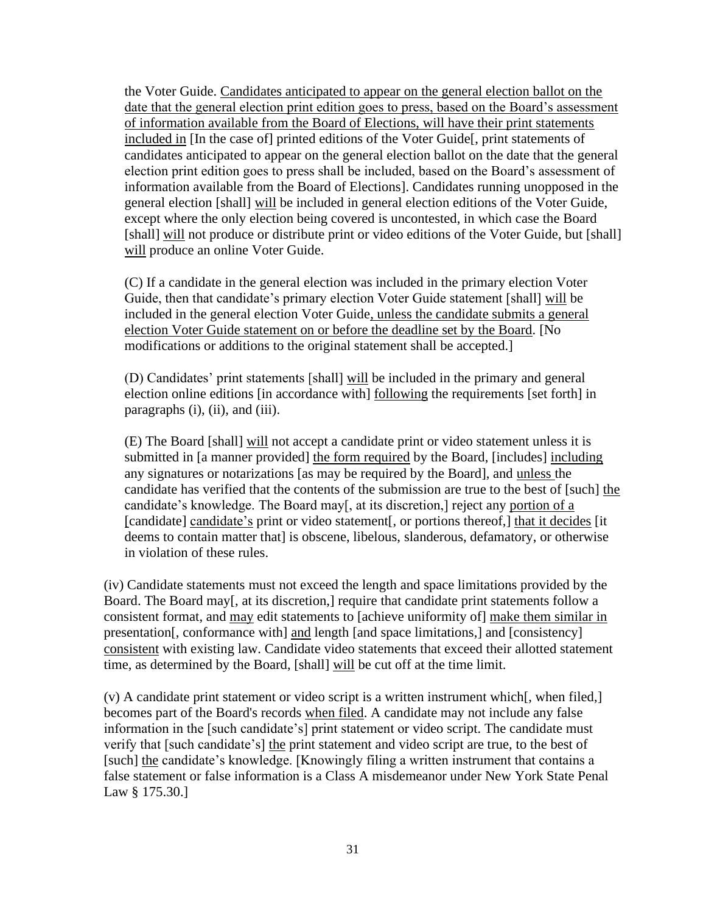the Voter Guide. Candidates anticipated to appear on the general election ballot on the date that the general election print edition goes to press, based on the Board's assessment of information available from the Board of Elections, will have their print statements included in [In the case of] printed editions of the Voter Guide[, print statements of candidates anticipated to appear on the general election ballot on the date that the general election print edition goes to press shall be included, based on the Board's assessment of information available from the Board of Elections]. Candidates running unopposed in the general election [shall] will be included in general election editions of the Voter Guide, except where the only election being covered is uncontested, in which case the Board [shall] will not produce or distribute print or video editions of the Voter Guide, but [shall] will produce an online Voter Guide.

(C) If a candidate in the general election was included in the primary election Voter Guide, then that candidate's primary election Voter Guide statement [shall] will be included in the general election Voter Guide, unless the candidate submits a general election Voter Guide statement on or before the deadline set by the Board. [No modifications or additions to the original statement shall be accepted.]

(D) Candidates' print statements [shall] will be included in the primary and general election online editions [in accordance with] following the requirements [set forth] in paragraphs (i), (ii), and (iii).

(E) The Board [shall] will not accept a candidate print or video statement unless it is submitted in [a manner provided] the form required by the Board, [includes] including any signatures or notarizations [as may be required by the Board], and unless the candidate has verified that the contents of the submission are true to the best of [such] the candidate's knowledge. The Board may[, at its discretion,] reject any portion of a [candidate] candidate's print or video statement<sup>[</sup>, or portions thereof<sub>,</sub>] that it decides [it] deems to contain matter that] is obscene, libelous, slanderous, defamatory, or otherwise in violation of these rules.

(iv) Candidate statements must not exceed the length and space limitations provided by the Board. The Board may[, at its discretion,] require that candidate print statements follow a consistent format, and may edit statements to [achieve uniformity of] make them similar in presentation[, conformance with] and length [and space limitations,] and [consistency] consistent with existing law. Candidate video statements that exceed their allotted statement time, as determined by the Board, [shall] will be cut off at the time limit.

(v) A candidate print statement or video script is a written instrument which[, when filed,] becomes part of the Board's records when filed. A candidate may not include any false information in the [such candidate's] print statement or video script. The candidate must verify that [such candidate's] the print statement and video script are true, to the best of [such] the candidate's knowledge. [Knowingly filing a written instrument that contains a false statement or false information is a Class A misdemeanor under New York State Penal Law § 175.30.]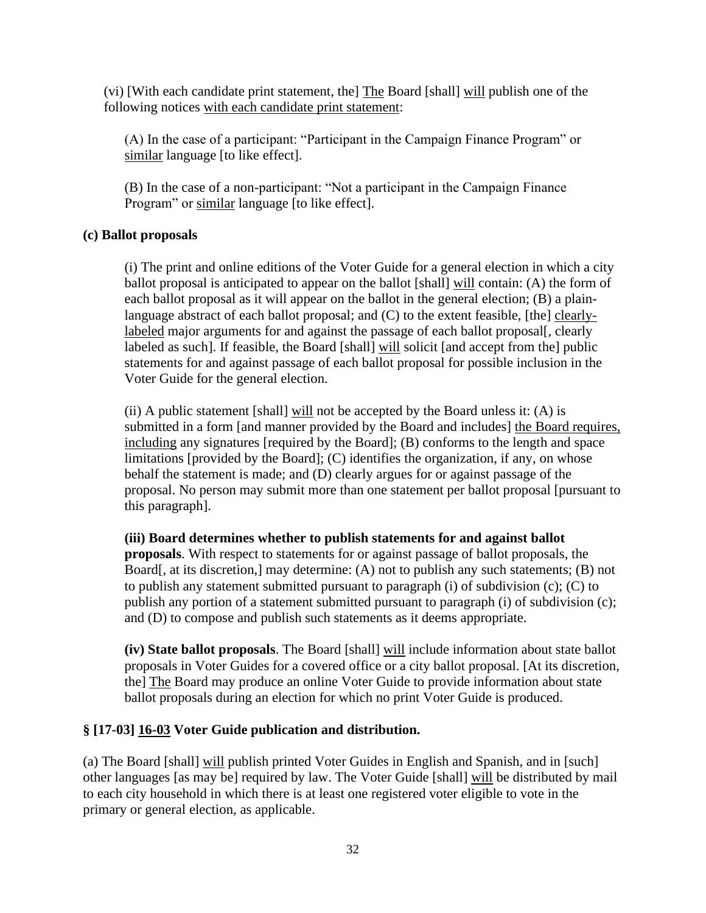(vi) [With each candidate print statement, the] The Board [shall] will publish one of the following notices with each candidate print statement:

(A) In the case of a participant: "Participant in the Campaign Finance Program" or similar language [to like effect].

(B) In the case of a non-participant: "Not a participant in the Campaign Finance Program" or similar language [to like effect].

### **(c) Ballot proposals**

(i) The print and online editions of the Voter Guide for a general election in which a city ballot proposal is anticipated to appear on the ballot [shall] will contain: (A) the form of each ballot proposal as it will appear on the ballot in the general election; (B) a plainlanguage abstract of each ballot proposal; and (C) to the extent feasible, [the] clearlylabeled major arguments for and against the passage of each ballot proposal. clearly labeled as such]. If feasible, the Board [shall] will solicit [and accept from the] public statements for and against passage of each ballot proposal for possible inclusion in the Voter Guide for the general election.

 $(i)$  A public statement [shall] will not be accepted by the Board unless it:  $(A)$  is submitted in a form [and manner provided by the Board and includes] the Board requires, including any signatures [required by the Board]; (B) conforms to the length and space limitations [provided by the Board]; (C) identifies the organization, if any, on whose behalf the statement is made; and (D) clearly argues for or against passage of the proposal. No person may submit more than one statement per ballot proposal [pursuant to this paragraph].

### **(iii) Board determines whether to publish statements for and against ballot**

**proposals**. With respect to statements for or against passage of ballot proposals, the Board[, at its discretion,] may determine: (A) not to publish any such statements; (B) not to publish any statement submitted pursuant to paragraph (i) of subdivision (c); (C) to publish any portion of a statement submitted pursuant to paragraph (i) of subdivision (c); and (D) to compose and publish such statements as it deems appropriate.

**(iv) State ballot proposals**. The Board [shall] will include information about state ballot proposals in Voter Guides for a covered office or a city ballot proposal. [At its discretion, the] The Board may produce an online Voter Guide to provide information about state ballot proposals during an election for which no print Voter Guide is produced.

### **§ [17-03] 16-03 Voter Guide publication and distribution.**

(a) The Board [shall] will publish printed Voter Guides in English and Spanish, and in [such] other languages [as may be] required by law. The Voter Guide [shall] will be distributed by mail to each city household in which there is at least one registered voter eligible to vote in the primary or general election, as applicable.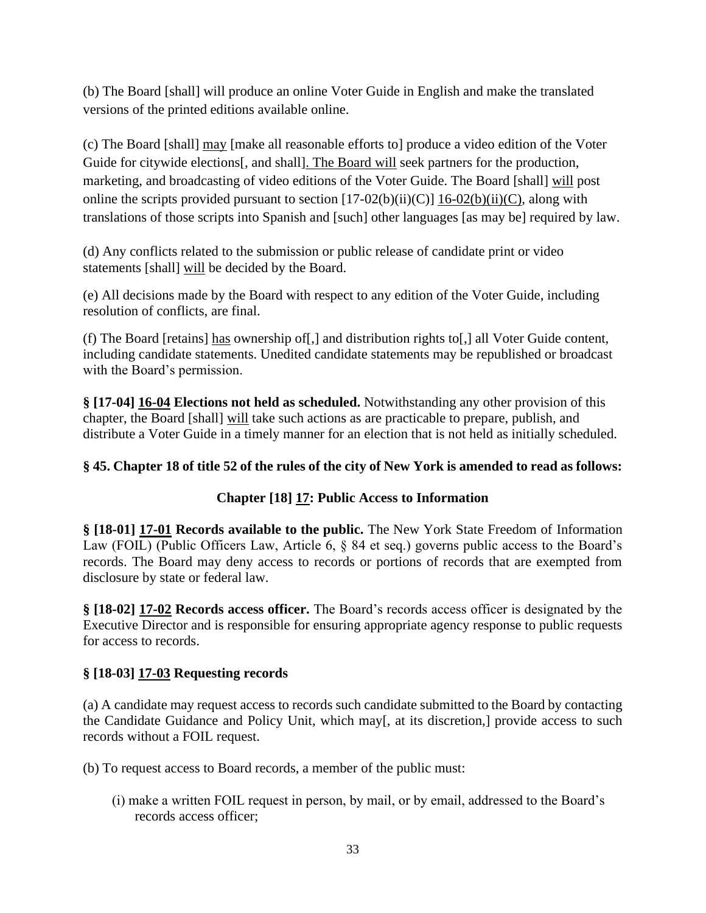(b) The Board [shall] will produce an online Voter Guide in English and make the translated versions of the printed editions available online.

(c) The Board [shall] may [make all reasonable efforts to] produce a video edition of the Voter Guide for citywide elections[, and shall]. The Board will seek partners for the production, marketing, and broadcasting of video editions of the Voter Guide. The Board [shall] will post online the scripts provided pursuant to section  $[17-02(b)(ii)(C)]$  16-02(b)(ii)(C), along with translations of those scripts into Spanish and [such] other languages [as may be] required by law.

(d) Any conflicts related to the submission or public release of candidate print or video statements [shall] will be decided by the Board.

(e) All decisions made by the Board with respect to any edition of the Voter Guide, including resolution of conflicts, are final.

(f) The Board [retains] has ownership of[,] and distribution rights to[,] all Voter Guide content, including candidate statements. Unedited candidate statements may be republished or broadcast with the Board's permission.

**§ [17-04] 16-04 Elections not held as scheduled.** Notwithstanding any other provision of this chapter, the Board [shall] will take such actions as are practicable to prepare, publish, and distribute a Voter Guide in a timely manner for an election that is not held as initially scheduled.

# **§ 45. Chapter 18 of title 52 of the rules of the city of New York is amended to read as follows:**

# **Chapter [18] 17: Public Access to Information**

**§ [18-01] 17-01 Records available to the public.** The New York State Freedom of Information Law (FOIL) (Public Officers Law, Article 6, § 84 et seq.) governs public access to the Board's records. The Board may deny access to records or portions of records that are exempted from disclosure by state or federal law.

**§ [18-02] 17-02 Records access officer.** The Board's records access officer is designated by the Executive Director and is responsible for ensuring appropriate agency response to public requests for access to records.

# **§ [18-03] 17-03 Requesting records**

(a) A candidate may request access to records such candidate submitted to the Board by contacting the Candidate Guidance and Policy Unit, which may[, at its discretion,] provide access to such records without a FOIL request.

(b) To request access to Board records, a member of the public must:

(i) make a written FOIL request in person, by mail, or by email, addressed to the Board's records access officer;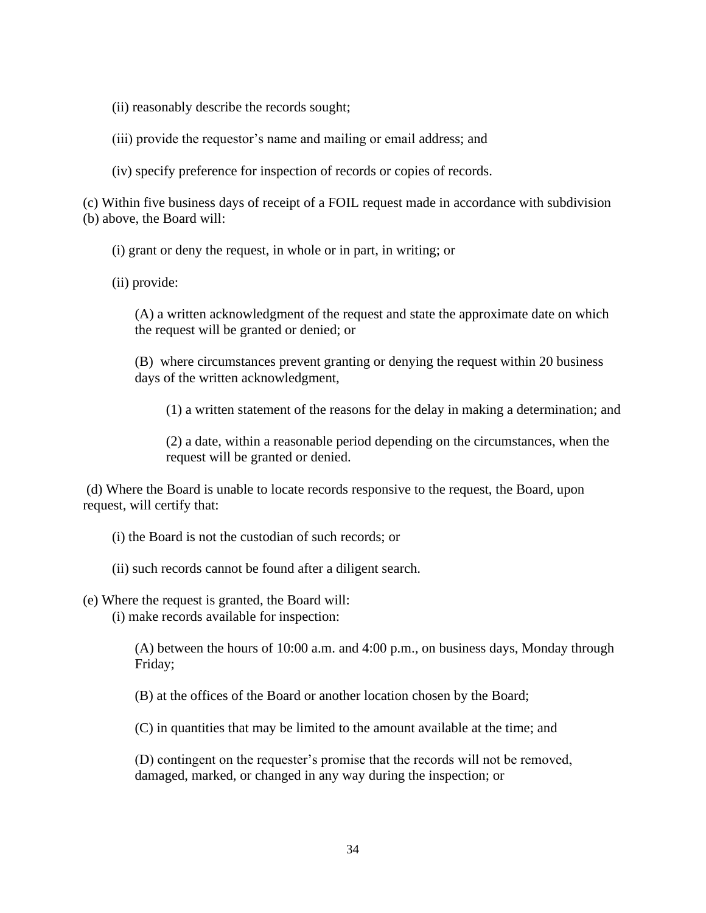(ii) reasonably describe the records sought;

(iii) provide the requestor's name and mailing or email address; and

(iv) specify preference for inspection of records or copies of records.

(c) Within five business days of receipt of a FOIL request made in accordance with subdivision (b) above, the Board will:

(i) grant or deny the request, in whole or in part, in writing; or

(ii) provide:

(A) a written acknowledgment of the request and state the approximate date on which the request will be granted or denied; or

(B) where circumstances prevent granting or denying the request within 20 business days of the written acknowledgment,

(1) a written statement of the reasons for the delay in making a determination; and

(2) a date, within a reasonable period depending on the circumstances, when the request will be granted or denied.

(d) Where the Board is unable to locate records responsive to the request, the Board, upon request, will certify that:

(i) the Board is not the custodian of such records; or

(ii) such records cannot be found after a diligent search.

(e) Where the request is granted, the Board will:

(i) make records available for inspection:

(A) between the hours of 10:00 a.m. and 4:00 p.m., on business days, Monday through Friday;

(B) at the offices of the Board or another location chosen by the Board;

(C) in quantities that may be limited to the amount available at the time; and

(D) contingent on the requester's promise that the records will not be removed, damaged, marked, or changed in any way during the inspection; or